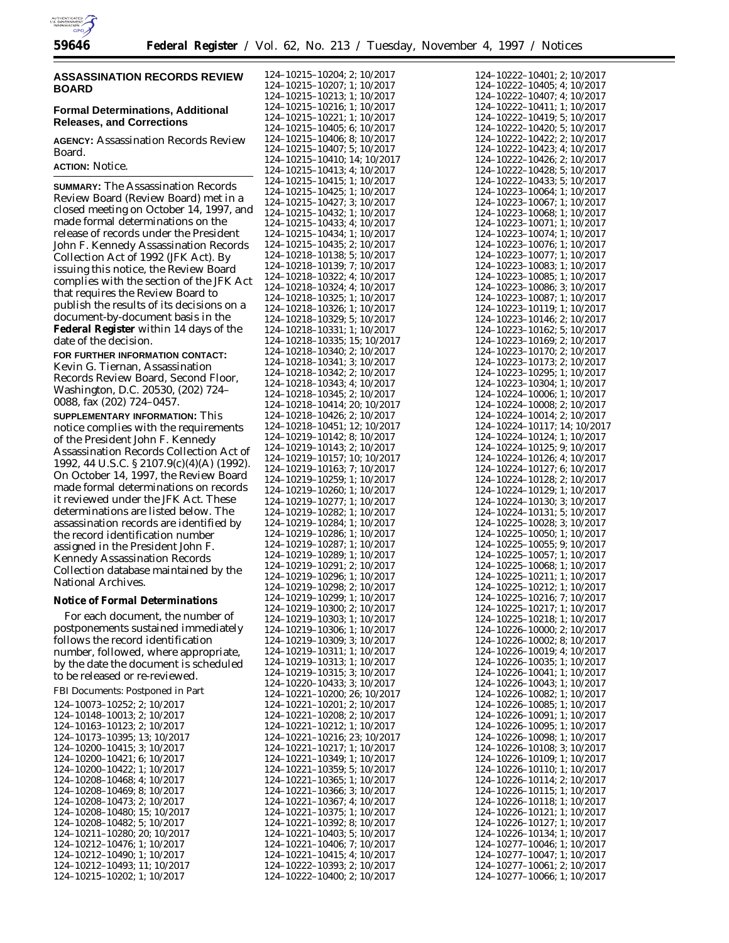

# **ASSASSINATION RECORDS REVIEW BOARD**

# **Formal Determinations, Additional Releases, and Corrections**

**AGENCY:** Assassination Records Review Board. **ACTION:** Notice.

**SUMMARY:** The Assassination Records Review Board (Review Board) met in a closed meeting on October 14, 1997, and made formal determinations on the release of records under the President John F. Kennedy Assassination Records Collection Act of 1992 (JFK Act). By issuing this notice, the Review Board complies with the section of the JFK Act that requires the Review Board to publish the results of its decisions on a document-by-document basis in the **Federal Register** within 14 days of the date of the decision.

**FOR FURTHER INFORMATION CONTACT:** Kevin G. Tiernan, Assassination Records Review Board, Second Floor, Washington, D.C. 20530, (202) 724– 0088, fax (202) 724–0457.

**SUPPLEMENTARY INFORMATION:** This notice complies with the requirements of the President John F. Kennedy Assassination Records Collection Act of 1992, 44 U.S.C. § 2107.9(c)(4)(A) (1992). On October 14, 1997, the Review Board made formal determinations on records it reviewed under the JFK Act. These determinations are listed below. The assassination records are identified by the record identification number assigned in the President John F. Kennedy Assassination Records Collection database maintained by the National Archives.

## **Notice of Formal Determinations**

For each document, the number of postponements sustained immediately follows the record identification number, followed, where appropriate, by the date the document is scheduled to be released or re-reviewed.

FBI Documents: Postponed in Part

| 124-10073-10252; 2; 10/2017  |
|------------------------------|
| 124-10148-10013: 2: 10/2017  |
| 124-10163-10123: 2: 10/2017  |
| 124-10173-10395: 13: 10/2017 |
| 124-10200-10415: 3: 10/2017  |
| 124-10200-10421: 6: 10/2017  |
| 124-10200-10422: 1: 10/2017  |
| 124-10208-10468: 4: 10/2017  |
| 124-10208-10469: 8: 10/2017  |
| 124-10208-10473: 2: 10/2017  |
| 124-10208-10480: 15: 10/2017 |
| 124-10208-10482: 5: 10/2017  |
| 124-10211-10280: 20: 10/2017 |
| 124-10212-10476; 1; 10/2017  |
| 124-10212-10490: 1: 10/2017  |
| 124-10212-10493; 11; 10/2017 |
| 124-10215-10202: 1: 10/2017  |

| 124-10215-10204; 2;                            | 10/2017                                |
|------------------------------------------------|----------------------------------------|
| 124-10215-10207;                               | 1;<br>10/2017                          |
| 124-10215-10213;<br>124-10215-10216;           | 1;<br>10/2017                          |
|                                                | 1;<br>10/2017                          |
| $124 - 10215 - 10221$ ;                        | 1;<br>10/2017                          |
| 124-10215-10405;                               | 6:<br>10/2017                          |
| 124-10215-10406;<br>124-10215-10407;           | 10/2017<br>8;                          |
|                                                | 5;<br>10/2017                          |
| 124-10215-10410;                               | 14; 10/2017                            |
| $124 - 10215 - 10413$<br>$124 - 10215 - 10415$ | 4;<br>10/2017                          |
|                                                | 1;<br>10/2017                          |
| $124 - 10215 - 10425$<br>124-10215-10427;      | 1;<br>10/2017                          |
|                                                | 3:<br>10/2017                          |
| 124-10215-10432;                               | 10/2017<br>1;                          |
| $124 - 10215 - 10433;$                         | 4;<br>10/2017                          |
| 124-10215-10434;                               | 10/2017<br>1;                          |
| 124-10215-10435;                               | 2;<br>10/2017                          |
| 124-10218-10138;                               | 5;<br>10/2017                          |
| 124-10218-10139;                               | 7;<br>10/2017                          |
| 124-10218-10322;                               | 10/2017<br>4;                          |
| 124-10218-10324;                               | 4:<br>10/2017                          |
| 124-10218-10325;                               | 1;<br>10/2017                          |
| 124-10218-10326;                               | 1;<br>10/2017                          |
| 124-10218-10329;                               | 5;<br>10/2017                          |
| 124-10218-10331;                               | 1;<br>10/2017                          |
| 124-10218-10335;                               | 15; 10/2017                            |
|                                                | 124-10218-10340; 2; 10/2017            |
|                                                | 124-10218-10341; 3; 10/2017            |
| 124-10218-10342; 2;                            | 10/2017                                |
|                                                | 124-10218-10343; 4; 10/2017            |
| 124-10218-10345; 2;                            | 10/2017                                |
|                                                | 124-10218-10414; 20; 10/2017           |
|                                                | 124-10218-10426; 2; 10/2017            |
|                                                | 124-10218-10451; 12; 10/2017           |
|                                                | 124-10219-10142; 8; 10/2017            |
|                                                | 124-10219-10143; 2; 10/2017            |
| 124-10219-10157;                               | 10; 10/2017                            |
| 124-10219-10163;                               | 7; 10/2017                             |
| 124-10219-10259;                               | 1;<br>10/2017                          |
| 124-10219-10260;                               | 1;<br>10/2017                          |
| 124-10219-10277;                               | 1;<br>10/2017                          |
| 124-10219-10282;                               | 1;<br>10/2017                          |
| 124-10219-10284;                               | 1;<br>10/2017                          |
| 124-10219-10286;                               | 1;<br>10/2017                          |
| 124-10219-10287;                               | 1;<br>10/2017                          |
| 124-10219-10289;                               | 1;<br>10/2017                          |
| 124-10219-10291;                               | 2;<br>10/2017                          |
| 124-10219-10296;                               | 1;<br>10/2017                          |
| 124-10219-10298;                               | 2;<br>10/2017                          |
| 124-10219-10299;                               | 1;<br>10/2017                          |
| 124-10219-10300;                               | 2;<br>10/2017                          |
| 124-10219-10303;                               | 10/2017<br>1;                          |
| 124-10219-10306;                               | 1;<br>10/2017                          |
| 124-10219-10309;                               | 3;<br>10/2017                          |
| 124-10219-10311;                               | 10/2017<br>1;                          |
| 124-10219-10313;                               | 10/2017<br>1;                          |
| 124-10219-10315;                               | 3;<br>10/2017                          |
| 124-10220-10433;                               | 3;<br>10/2017                          |
| 124-10221-10200;                               | 26; 10/2017                            |
| 124-10221-10201;                               | 2;<br>10/2017                          |
| 124-10221-10208;                               | 2;<br>10/2017                          |
| 124-10221-10212;                               | 10/2017<br>1;                          |
| 124-10221-10216;                               | 23; 10/2017                            |
| 124-10221-10217;                               | 1;<br>10/2017                          |
| 124-10221-10349;                               | 1;<br>10/2017                          |
| 124-10221-10359;                               | 5;<br>10/2017                          |
| 124-10221-10365;                               | 10/2017<br>1;                          |
| 124-10221-10366;                               | 3;<br>10/2017                          |
| 124-10221-10367;                               | 4;<br>10/2017                          |
| 124-10221-10375;                               | 10/2017<br>1;                          |
| 124-10221-10392;                               | 10/2017<br>8;                          |
| 124-10221-10403;                               | 5;<br>10/2017                          |
| 124-10221-10406;                               | 7;<br>10/2017                          |
| 124-10221-10415;                               | 10/2017<br>4;                          |
| 124-10222-10393; 2;                            | 10/2017<br>124-10222-10400: 2: 10/2017 |
|                                                |                                        |

|      | 124-10222-10401;                                 | 2;                                         | 10/2017            |
|------|--------------------------------------------------|--------------------------------------------|--------------------|
|      | 124-10222-10405;                                 | 4;                                         | 10/2017            |
|      | 124-10222-10407;                                 | 4;                                         | 10/2017            |
|      | 124-10222-10411;<br>124-10222-10419;             | 1;                                         | 10/2017            |
|      | 124-10222-10420;                                 | 5;<br>5;                                   | 10/2017<br>10/2017 |
|      | 124-10222-10422;                                 | 2;                                         | 10/2017            |
|      | 124-10222-10423;                                 | 4:                                         | 10/2017            |
|      | 124-10222-10426;                                 | 2;                                         | 10/2017            |
|      | 124-10222-10428;                                 | 5;                                         | 10/2017            |
| 124- | $-10222 - 10433;$                                | 5;                                         | 10/2017            |
|      | $124 - 10223 - 10064;$<br>$124 - 10223 - 10067;$ | 1;                                         | 10/2017            |
|      |                                                  | 1;                                         | 10/2017            |
|      | $124 - 10223 - 10068;$<br>124-10223-10071;       | 1;<br>1;                                   | 10/2017<br>10/2017 |
|      | 124-10223-10074;                                 | 1;                                         | 10/2017            |
|      | 124-10223-10076;                                 | 1;                                         | 10/2017            |
|      | 124-10223-10077;                                 | 1;                                         | 10/2017            |
|      | 124-10223-10083;                                 | 1;                                         | 10/2017            |
|      | 124-10223-10085;                                 | 1;                                         | 10/2017            |
|      | 124-10223-10086;                                 | 3;                                         | 10/2017            |
|      | 124-10223-10087;                                 | 1;                                         | 10/2017            |
|      | 124-10223-10119;                                 | 1;<br>2;                                   | 10/2017<br>10/2017 |
|      | 124-10223-10146;<br>124-10223-10162;             | 5;                                         | 10/2017            |
|      | 124-10223-10169;                                 | 2;                                         | 10/2017            |
|      | 124-10223-10170;                                 | 2;                                         | 10/2017            |
|      | 124-10223-10173;                                 | 2;                                         | 10/2017            |
|      | 124-10223-10295;                                 | 1;                                         | 10/2017            |
|      | 124-10223-10304;                                 | 1;                                         | 10/2017            |
|      | 124-10224-10006;                                 | 1;                                         | 10/2017            |
|      | 124-10224-10008;                                 | 2;                                         | 10/2017            |
|      | 124-10224-10014;<br>124-10224-10117;             | 2;<br>14;                                  | 10/2017            |
|      | 124-10224-10124;                                 | 1;                                         | 10/2017<br>10/2017 |
|      | 124-10224-10125;                                 | 9;                                         | 10/2017            |
|      | 124-10224-10126;                                 | 4;                                         | 10/2017            |
|      | 124-10224-10127;                                 | 6;                                         | 10/2017            |
|      | 124-10224-10128;                                 | 2;                                         | 10/2017            |
|      | 124-10224-10129;                                 | 1;                                         | 10/2017            |
|      | 124-10224-10130;                                 | 3;                                         | 10/2017            |
|      | 124-10224-10131;<br>124-10225-10028;             | 5;                                         | 10/2017            |
|      | 124-10225-10050;                                 | 3;<br>1;                                   | 10/2017<br>10/2017 |
|      | 124-10225-10055;                                 | 9;                                         | 10/2017            |
|      | 124-10225-10057;                                 | 1;                                         | 10/2017            |
|      | 124-10225-10068;                                 | 1;                                         | 10/2017            |
|      | 124-10225-10211;                                 | 1;                                         | 10/2017            |
|      | 124-10225-10212;                                 | 1;                                         | 10/2017            |
|      | 124-10225-10216;                                 | 7:                                         | 10/2017            |
|      | 124-10225-10217;                                 | 1;                                         |                    |
|      |                                                  |                                            | 10/2017            |
|      |                                                  | 1;                                         | 10/2017            |
|      |                                                  | 124-10225-10218;<br>124-10226-10000;<br>2; | 10/2017            |
|      |                                                  | 8;                                         | 10/2017            |
|      | 124–10226–10002;<br>124–10226–10019;             | 4;<br>1;                                   | 10/2017<br>10/2017 |
|      | 124-10226-10035;<br>124-10226-10041;             | 1;                                         | 10/2017            |
|      |                                                  | 1;                                         | 10/2017            |
|      | 124-10226-10043;<br>124-10226-10082;             | 1;                                         | 10/2017            |
|      |                                                  | 1;                                         | 10/2017            |
|      | 124-10226-10085;<br>124-10226-10091;             | 1;                                         | 10/2017            |
|      |                                                  | 1;                                         | 10/2017            |
|      | 124-10226-10095;<br>124-10226-10098;             | 1;                                         | 10/2017<br>10/2017 |
|      |                                                  | 3;                                         | 10/2017            |
|      | 124-10226-10108;<br>124-10226-10109;             | 1;<br>1;                                   | 10/2017            |
|      | 124-10226-10110;<br>124-10226-10114;             | 2;                                         | 10/2017            |
|      |                                                  | 1;                                         | 10/2017            |
|      | 124-10226-10115;<br>124-10226-10118;             | 1;                                         | 10/2017            |
|      |                                                  | 1;                                         | 10/2017            |
|      | 124-10226-10121;<br>124-10226-10127;             | 1;                                         | 10/2017            |
|      |                                                  | 1;                                         | 10/2017            |
|      | 124-10226-10134;<br>124-10277-10046;             | 1;                                         | 10/2017            |
|      | 124-10277-10047;<br>124-10277-10061;             | 1;<br>2;<br>124-10277-10066: 1: 10/2017    | 10/2017<br>10/2017 |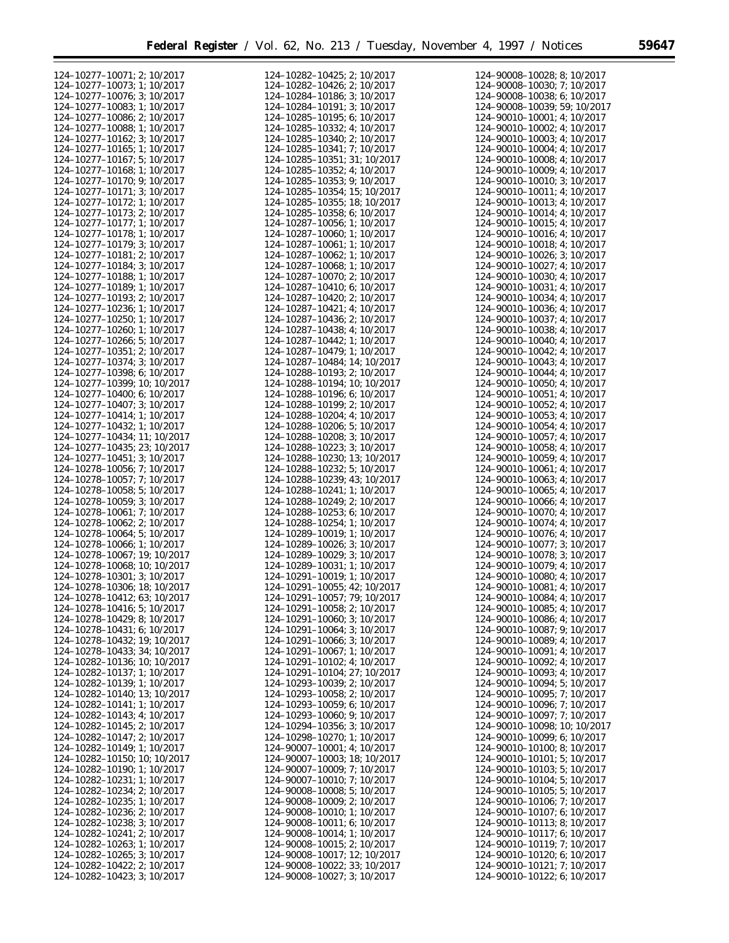۰

| 124-10277-10071; 2; 10/2017          | 124-10282-10425; 2; 10/2017          | 124-90008-10028; 8; 10/2017                                |
|--------------------------------------|--------------------------------------|------------------------------------------------------------|
| 124-10277-10073; 1; 10/2017          | 124-10282-10426; 2; 10/2017          | 124-90008-10030; 7; 10/2017                                |
| 124-10277-10076; 3; 10/2017          | 124-10284-10186; 3; 10/2017          | 124-90008-10038; 6; 10/2017                                |
| 124-10277-10083; 1; 10/2017          | 124-10284-10191; 3; 10/2017          | 124-90008-10039; 59; 10/2017                               |
| 124-10277-10086; 2; 10/2017          |                                      |                                                            |
|                                      | 124-10285-10195; 6; 10/2017          | 124-90010-10001; 4; 10/2017<br>124-90010-10002; 4; 10/2017 |
| 124-10277-10088; 1; 10/2017          | 124-10285-10332; 4; 10/2017          |                                                            |
| 124-10277-10162; 3; 10/2017          | 124-10285-10340; 2; 10/2017          | 124-90010-10003; 4; 10/2017                                |
| 124-10277-10165; 1; 10/2017          | 124-10285-10341; 7; 10/2017          | 124-90010-10004; 4; 10/2017                                |
| 124-10277-10167; 5; 10/2017          | 124-10285-10351; 31; 10/2017         | 124-90010-10008; 4; 10/2017                                |
| 124-10277-10168; 1; 10/2017          | 124-10285-10352; 4; 10/2017          | 124-90010-10009; 4; 10/2017                                |
| 124-10277-10170; 9; 10/2017          | 124-10285-10353; 9; 10/2017          | 124-90010-10010; 3; 10/2017                                |
| 124-10277-10171; 3; 10/2017          | 124-10285-10354; 15; 10/2017         | 124-90010-10011; 4; 10/2017                                |
| 124-10277-10172; 1; 10/2017          | 124-10285-10355; 18; 10/2017         | 124-90010-10013; 4; 10/2017                                |
| 124-10277-10173; 2; 10/2017          | 124-10285-10358; 6; 10/2017          | 124-90010-10014; 4; 10/2017                                |
| 124-10277-10177; 1; 10/2017          | 124-10287-10056; 1; 10/2017          | 124-90010-10015; 4; 10/2017                                |
| 124-10277-10178; 1; 10/2017          | 124-10287-10060; 1; 10/2017          | 124-90010-10016; 4; 10/2017                                |
| 124-10277-10179; 3; 10/2017          | 124-10287-10061; 1; 10/2017          | 124-90010-10018; 4; 10/2017                                |
| 124-10277-10181; 2; 10/2017          | 124-10287-10062; 1; 10/2017          | 124-90010-10026; 3; 10/2017                                |
| 124-10277-10184; 3; 10/2017          | 124-10287-10068; 1; 10/2017          | 124-90010-10027; 4; 10/2017                                |
|                                      |                                      |                                                            |
| 124-10277-10188; 1; 10/2017          | 124-10287-10070; 2; 10/2017          | 124-90010-10030; 4; 10/2017                                |
| 124-10277-10189; 1; 10/2017          | 124-10287-10410; 6; 10/2017          | 124-90010-10031; 4; 10/2017                                |
| 124-10277-10193; 2; 10/2017          | 124-10287-10420; 2; 10/2017          | 124-90010-10034; 4; 10/2017                                |
| 124-10277-10236; 1; 10/2017          | 124-10287-10421; 4; 10/2017          | 124-90010-10036; 4; 10/2017                                |
| 124-10277-10250; 1; 10/2017          | 124-10287-10436; 2; 10/2017          | 124-90010-10037; 4; 10/2017                                |
| 124-10277-10260; 1; 10/2017          | 124-10287-10438; 4; 10/2017          | 124-90010-10038; 4; 10/2017                                |
| 124-10277-10266; 5; 10/2017          | 124-10287-10442; 1; 10/2017          | 124-90010-10040; 4; 10/2017                                |
| 124-10277-10351; 2; 10/2017          | 124-10287-10479; 1; 10/2017          | 124-90010-10042; 4; 10/2017                                |
| 124-10277-10374; 3; 10/2017          | 124-10287-10484; 14; 10/2017         | 124-90010-10043; 4; 10/2017                                |
| 124-10277-10398; 6; 10/2017          | 124-10288-10193; 2; 10/2017          | 124-90010-10044; 4; 10/2017                                |
| 124-10277-10399; 10; 10/2017         | 124-10288-10194; 10; 10/2017         | 124-90010-10050; 4; 10/2017                                |
| 124-10277-10400; 6; 10/2017          | 124-10288-10196; 6; 10/2017          | 124-90010-10051; 4; 10/2017                                |
| 124-10277-10407; 3; 10/2017          | 124-10288-10199; 2; 10/2017          | 124-90010-10052; 4; 10/2017                                |
|                                      | 124-10288-10204; 4; 10/2017          |                                                            |
| 124-10277-10414; 1; 10/2017          |                                      | 124-90010-10053; 4; 10/2017                                |
| 124-10277-10432; 1; 10/2017          | 124-10288-10206; 5; 10/2017          | 124-90010-10054; 4; 10/2017                                |
| 124-10277-10434; 11; 10/2017         | 124-10288-10208; 3; 10/2017          | 124-90010-10057; 4; 10/2017                                |
| 124-10277-10435; 23; 10/2017         | 124-10288-10223; 3; 10/2017          | 124-90010-10058; 4; 10/2017                                |
| 124-10277-10451; 3; 10/2017          | 124-10288-10230; 13; 10/2017         | 124-90010-10059; 4; 10/2017                                |
| 124-10278-10056; 7; 10/2017          | 124-10288-10232; 5; 10/2017          | 124-90010-10061; 4; 10/2017                                |
| 124-10278-10057; 7; 10/2017          | 124-10288-10239; 43; 10/2017         | 124-90010-10063; 4; 10/2017                                |
| 124-10278-10058; 5; 10/2017          | 124-10288-10241; 1; 10/2017          | 124-90010-10065; 4; 10/2017                                |
| 124-10278-10059; 3; 10/2017          | 124-10288-10249; 2; 10/2017          | 124-90010-10066; 4; 10/2017                                |
| 124-10278-10061; 7; 10/2017          | 124-10288-10253; 6; 10/2017          | 124-90010-10070; 4; 10/2017                                |
| 124-10278-10062; 2; 10/2017          | 124-10288-10254; 1; 10/2017          | 124-90010-10074; 4; 10/2017                                |
| 124-10278-10064; 5; 10/2017          | 124-10289-10019; 1; 10/2017          | 124-90010-10076; 4; 10/2017                                |
| 124-10278-10066; 1; 10/2017          | 124-10289-10026; 3; 10/2017          | 124-90010-10077; 3; 10/2017                                |
| 124-10278-10067; 19; 10/2017         | 124-10289-10029; 3; 10/2017          | 124-90010-10078; 3; 10/2017                                |
| 124-10278-10068; 10; 10/2017         | 124-10289-10031; 1; 10/2017          | 124-90010-10079; 4; 10/2017                                |
| 124-10278-10301; 3; 10/2017          | 124-10291-10019; 1; 10/2017          | 124-90010-10080; 4; 10/2017                                |
|                                      |                                      |                                                            |
| 124-10278-10306; 18; 10/2017         | 124-10291-10055; 42; 10/2017         | 124-90010-10081; 4; 10/2017                                |
| 124-10278-10412; 63; 10/2017         | 124-10291-10057; 79; 10/2017         | 124-90010-10084; 4; 10/2017                                |
| 124-10278-10416; 5; 10/2017          | 124-10291-10058; 2; 10/2017          | 124-90010-10085; 4; 10/2017                                |
| 124-10278-10429; 8; 10/2017          | 124-10291-10060; 3; 10/2017          | 124-90010-10086; 4; 10/2017                                |
| 124-10278-10431; 6; 10/2017          | 124-10291-10064; 3; 10/2017          | 124-90010-10087; 9; 10/2017                                |
| 124-10278-10432; 19; 10/2017         | 124-10291-10066; 3; 10/2017          | 124-90010-10089; 4; 10/2017                                |
| 124-10278-10433; 34; 10/2017         | 124-10291-10067; 1; 10/2017          | 124-90010-10091; 4; 10/2017                                |
| 124-10282-10136; 10; 10/2017         | $124 - 10291 - 10102$ ; 4; 10/2017   | 124-90010-10092; 4; 10/2017                                |
| 124-10282-10137; 1; 10/2017          | 124-10291-10104; 27; 10/2017         | 124-90010-10093; 4; 10/2017                                |
| 124-10282-10139; 1; 10/2017          | 124-10293-10039; 2; 10/2017          | 124-90010-10094; 5; 10/2017                                |
| 124-10282-10140; 13; 10/2017         | 124-10293-10058; 2; 10/2017          | 124-90010-10095; 7; 10/2017                                |
| 124-10282-10141; 1; 10/2017          | 124-10293-10059; 6; 10/2017          | 124-90010-10096; 7; 10/2017                                |
| 124-10282-10143; 4; 10/2017          | 124-10293-10060; 9; 10/2017          | 124-90010-10097; 7; 10/2017                                |
| 124-10282-10145; 2; 10/2017          | 124-10294-10356; 3; 10/2017          | 124-90010-10098; 10; 10/2017                               |
| 124-10282-10147; 2; 10/2017          | 124-10298-10270; 1; 10/2017          | 124-90010-10099; 6; 10/2017                                |
| 124-10282-10149; 1; 10/2017          | 124-90007-10001; 4; 10/2017          |                                                            |
|                                      |                                      | 124-90010-10100; 8; 10/2017                                |
| 124-10282-10150; 10; 10/2017         | 124-90007-10003; 18; 10/2017         | 124-90010-10101; 5; 10/2017                                |
| 124-10282-10190; 1; 10/2017          | 124-90007-10009; 7; 10/2017          | 124-90010-10103; 5; 10/2017                                |
| 124-10282-10231; 1; 10/2017          | 124-90007-10010; 7; 10/2017          | 124-90010-10104; 5; 10/2017                                |
| 124-10282-10234; 2; 10/2017          | 124-90008-10008; 5; 10/2017          | 124-90010-10105; 5; 10/2017                                |
| 124-10282-10235; 1; 10/2017          | $124 - 90008 - 10009$ ; 2; $10/2017$ | 124-90010-10106; 7; 10/2017                                |
| 124-10282-10236; 2; 10/2017          | 124-90008-10010; 1; 10/2017          | 124-90010-10107; 6; 10/2017                                |
| 124-10282-10238; 3; 10/2017          | 124-90008-10011; 6; 10/2017          | 124-90010-10113; 8; 10/2017                                |
| 124-10282-10241; 2; 10/2017          | 124-90008-10014; 1; 10/2017          | 124-90010-10117; 6; 10/2017                                |
| 124-10282-10263; 1; 10/2017          | $124 - 90008 - 10015$ ; 2; 10/2017   | 124-90010-10119; 7; 10/2017                                |
| 124-10282-10265; 3; 10/2017          | 124-90008-10017; 12; 10/2017         | 124-90010-10120; 6; 10/2017                                |
| 124-10282-10422; 2; 10/2017          | 124-90008-10022; 33; 10/2017         | 124-90010-10121; 7; 10/2017                                |
| $124 - 10282 - 10423$ ; 3; $10/2017$ | 124-90008-10027; 3; 10/2017          | $124 - 90010 - 10122$ ; 6; 10/2017                         |
|                                      |                                      |                                                            |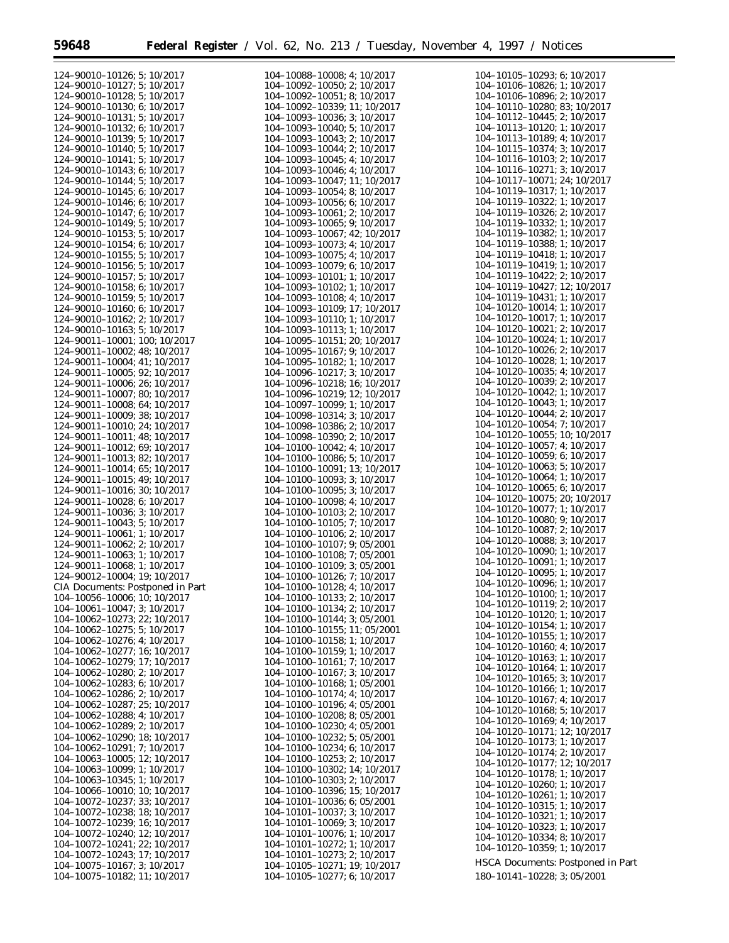Ξ

 $\equiv$ 

| 124-90010-10126; 5; 10/2017             | 104-10088-10008; 4; 10/2017          | 104-10105-10293; 6; 10/2017              |
|-----------------------------------------|--------------------------------------|------------------------------------------|
| 124-90010-10127; 5; 10/2017             | 104-10092-10050; 2; 10/2017          | 104-10106-10826; 1; 10/2017              |
|                                         |                                      |                                          |
| 124-90010-10128; 5; 10/2017             | 104-10092-10051; 8; 10/2017          | 104-10106-10896; 2; 10/2017              |
| 124-90010-10130; 6; 10/2017             | 104-10092-10339; 11; 10/2017         | 104-10110-10280; 83; 10/2017             |
| 124-90010-10131; 5; 10/2017             | 104-10093-10036; 3; 10/2017          | $104 - 10112 - 10445$ ; 2; 10/2017       |
| 124-90010-10132; 6; 10/2017             | 104-10093-10040; 5; 10/2017          | 104-10113-10120; 1; 10/2017              |
|                                         |                                      |                                          |
| $124 - 90010 - 10139$ ; 5; 10/2017      | 104-10093-10043; 2; 10/2017          | 104-10113-10189; 4; 10/2017              |
| 124-90010-10140; 5; 10/2017             | 104-10093-10044; 2; 10/2017          | 104-10115-10374; 3; 10/2017              |
| 124-90010-10141; 5; 10/2017             | 104-10093-10045; 4; 10/2017          | 104-10116-10103; 2; 10/2017              |
|                                         |                                      |                                          |
| 124-90010-10143; 6; 10/2017             | 104-10093-10046; 4; 10/2017          | 104-10116-10271; 3; 10/2017              |
| 124-90010-10144; 5; 10/2017             | 104-10093-10047; 11; 10/2017         | 104-10117-10071; 24; 10/2017             |
| 124-90010-10145; 6; 10/2017             | 104-10093-10054; 8; 10/2017          | 104-10119-10317; 1; 10/2017              |
| 124-90010-10146; 6; 10/2017             | 104-10093-10056; 6; 10/2017          | 104-10119-10322; 1; 10/2017              |
|                                         |                                      |                                          |
| 124-90010-10147; 6; 10/2017             | 104-10093-10061; 2; 10/2017          | 104-10119-10326; 2; 10/2017              |
| 124-90010-10149; 5; 10/2017             | 104-10093-10065; 9; 10/2017          | 104-10119-10332; 1; 10/2017              |
| 124-90010-10153; 5; 10/2017             | 104-10093-10067; 42; 10/2017         | 104-10119-10382; 1; 10/2017              |
|                                         |                                      |                                          |
| 124-90010-10154; 6; 10/2017             | 104-10093-10073; 4; 10/2017          | 104-10119-10388; 1; 10/2017              |
| $124 - 90010 - 10155$ ; 5; 10/2017      | 104-10093-10075; 4; 10/2017          | 104-10119-10418; 1; 10/2017              |
| 124-90010-10156; 5; 10/2017             | 104-10093-10079; 6; 10/2017          | 104-10119-10419; 1; 10/2017              |
|                                         |                                      | 104-10119-10422; 2; 10/2017              |
| 124-90010-10157; 5; 10/2017             | 104-10093-10101; 1; 10/2017          |                                          |
| 124-90010-10158; 6; 10/2017             | 104-10093-10102; 1; 10/2017          | 104-10119-10427; 12; 10/2017             |
| 124-90010-10159; 5; 10/2017             | 104-10093-10108; 4; 10/2017          | 104-10119-10431; 1; 10/2017              |
| 124-90010-10160; 6; 10/2017             | 104-10093-10109; 17; 10/2017         | 104-10120-10014; 1; 10/2017              |
|                                         |                                      | 104-10120-10017; 1; 10/2017              |
| 124-90010-10162; 2; 10/2017             | 104-10093-10110; 1; 10/2017          |                                          |
| 124-90010-10163; 5; 10/2017             | 104-10093-10113; 1; 10/2017          | 104-10120-10021; 2; 10/2017              |
| 124-90011-10001; 100; 10/2017           | 104-10095-10151; 20; 10/2017         | 104-10120-10024; 1; 10/2017              |
|                                         |                                      | 104-10120-10026; 2; 10/2017              |
| 124-90011-10002; 48; 10/2017            | 104-10095-10167; 9; 10/2017          |                                          |
| 124-90011-10004; 41; 10/2017            | 104-10095-10182; 1; 10/2017          | 104-10120-10028; 1; 10/2017              |
| 124-90011-10005; 92; 10/2017            | 104-10096-10217; 3; 10/2017          | 104-10120-10035; 4; 10/2017              |
| 124-90011-10006; 26; 10/2017            | 104-10096-10218; 16; 10/2017         | 104-10120-10039; 2; 10/2017              |
|                                         |                                      | 104-10120-10042: 1: 10/2017              |
| 124-90011-10007; 80; 10/2017            | 104-10096-10219; 12; 10/2017         |                                          |
| 124-90011-10008; 64; 10/2017            | 104-10097-10099; 1; 10/2017          | 104-10120-10043; 1; 10/2017              |
| 124-90011-10009; 38; 10/2017            | 104-10098-10314; 3; 10/2017          | 104-10120-10044; 2; 10/2017              |
|                                         |                                      | 104-10120-10054; 7; 10/2017              |
| 124-90011-10010; 24; 10/2017            | 104-10098-10386; 2; 10/2017          |                                          |
| 124-90011-10011; 48; 10/2017            | 104-10098-10390; 2; 10/2017          | 104-10120-10055; 10; 10/2017             |
| 124-90011-10012; 69; 10/2017            | 104-10100-10042; 4; 10/2017          | 104-10120-10057; 4; 10/2017              |
| 124-90011-10013; 82; 10/2017            | 104-10100-10086; 5; 10/2017          | 104-10120-10059; 6; 10/2017              |
|                                         |                                      | 104-10120-10063; 5; 10/2017              |
| 124-90011-10014; 65; 10/2017            | 104-10100-10091; 13; 10/2017         |                                          |
| 124-90011-10015; 49; 10/2017            | 104-10100-10093; 3; 10/2017          | 104-10120-10064; 1; 10/2017              |
| 124-90011-10016; 30; 10/2017            | 104-10100-10095; 3; 10/2017          | 104-10120-10065; 6; 10/2017              |
|                                         |                                      | 104-10120-10075; 20; 10/2017             |
| $124 - 90011 - 10028$ ; 6; 10/2017      | 104-10100-10098; 4; 10/2017          | 104-10120-10077; 1; 10/2017              |
| $124 - 90011 - 10036$ ; 3; 10/2017      | 104-10100-10103; 2; 10/2017          |                                          |
| $124 - 90011 - 10043$ ; 5; 10/2017      | 104-10100-10105; 7; 10/2017          | 104-10120-10080; 9; 10/2017              |
| $124 - 90011 - 10061$ ; 1; 10/2017      | 104-10100-10106; 2; 10/2017          | 104-10120-10087; 2; 10/2017              |
|                                         |                                      | 104-10120-10088; 3; 10/2017              |
| $124 - 90011 - 10062$ ; 2; 10/2017      | $104 - 10100 - 10107$ ; 9; 05/2001   |                                          |
| $124 - 90011 - 10063$ ; 1; 10/2017      | 104-10100-10108; 7; 05/2001          | 104-10120-10090; 1; 10/2017              |
| $124 - 90011 - 10068$ ; 1; 10/2017      | $104 - 10100 - 10109$ ; 3; 05/2001   | 104-10120-10091; 1; 10/2017              |
|                                         |                                      | 104-10120-10095; 1; 10/2017              |
| 124-90012-10004; 19; 10/2017            | 104-10100-10126; 7; 10/2017          | 104-10120-10096; 1; 10/2017              |
| <b>CIA Documents: Postponed in Part</b> | 104-10100-10128; 4; 10/2017          |                                          |
| 104-10056-10006; 10; 10/2017            | 104-10100-10133; 2; 10/2017          | 104-10120-10100; 1; 10/2017              |
| 104-10061-10047; 3; 10/2017             | 104-10100-10134; 2; 10/2017          | 104-10120-10119; 2; 10/2017              |
|                                         |                                      | 104-10120-10120; 1; 10/2017              |
| 104-10062-10273; 22; 10/2017            | 104-10100-10144; 3; 05/2001          | 104-10120-10154; 1; 10/2017              |
| $104-10062-10275$ ; 5; $10/2017$        | 104-10100-10155; 11; 05/2001         |                                          |
| $104-10062-10276$ ; 4; $10/2017$        | 104-10100-10158; 1; 10/2017          | 104-10120-10155; 1; 10/2017              |
| 104-10062-10277; 16; 10/2017            | 104-10100-10159; 1; 10/2017          | 104-10120-10160; 4; 10/2017              |
|                                         |                                      | 104-10120-10163; 1; 10/2017              |
| 104-10062-10279; 17; 10/2017            | 104-10100-10161; 7; 10/2017          | 104-10120-10164; 1; 10/2017              |
| $104-10062-10280$ ; 2; $10/2017$        | 104-10100-10167; 3; 10/2017          |                                          |
| 104-10062-10283; 6; 10/2017             | 104-10100-10168; 1; 05/2001          | 104-10120-10165; 3; 10/2017              |
|                                         | 104-10100-10174; 4; 10/2017          | 104-10120-10166; 1; 10/2017              |
| $104-10062-10286; 2; 10/2017$           |                                      | 104-10120-10167; 4; 10/2017              |
| 104-10062-10287; 25; 10/2017            | 104-10100-10196; 4; 05/2001          | 104-10120-10168; 5; 10/2017              |
| 104-10062-10288; 4; 10/2017             | $104 - 10100 - 10208$ ; 8; 05/2001   |                                          |
| 104-10062-10289; 2; 10/2017             | $104 - 10100 - 10230$ ; 4; 05/2001   | 104-10120-10169; 4; 10/2017              |
|                                         |                                      | 104-10120-10171; 12; 10/2017             |
| 104-10062-10290; 18; 10/2017            | $104 - 10100 - 10232$ ; 5; 05/2001   | 104-10120-10173; 1; 10/2017              |
| 104-10062-10291; 7; 10/2017             | 104-10100-10234; 6; 10/2017          | 104-10120-10174; 2; 10/2017              |
| 104-10063-10005; 12; 10/2017            | $104 - 10100 - 10253$ ; 2; $10/2017$ |                                          |
| $104 - 10063 - 10099$ ; 1; $10/2017$    | 104-10100-10302; 14; 10/2017         | 104-10120-10177; 12; 10/2017             |
|                                         |                                      | 104-10120-10178; 1; 10/2017              |
| $104 - 10063 - 10345$ ; 1; 10/2017      | 104-10100-10303; 2; 10/2017          | 104-10120-10260; 1; 10/2017              |
| 104-10066-10010; 10; 10/2017            | 104-10100-10396; 15; 10/2017         | 104-10120-10261; 1; 10/2017              |
| 104-10072-10237; 33; 10/2017            | $104 - 10101 - 10036$ ; 6; 05/2001   |                                          |
| 104-10072-10238; 18; 10/2017            | 104-10101-10037; 3; 10/2017          | 104-10120-10315; 1; 10/2017              |
|                                         |                                      | 104-10120-10321; 1; 10/2017              |
| 104-10072-10239; 16; 10/2017            | 104-10101-10069; 3; 10/2017          | 104-10120-10323; 1; 10/2017              |
| 104-10072-10240; 12; 10/2017            | 104-10101-10076; 1; 10/2017          | 104-10120-10334; 8; 10/2017              |
| 104-10072-10241; 22; 10/2017            | 104-10101-10272; 1; 10/2017          |                                          |
|                                         |                                      | 104-10120-10359; 1; 10/2017              |
| 104-10072-10243; 17; 10/2017            | 104-10101-10273; 2; 10/2017          | <b>HSCA Documents: Postponed in Part</b> |
| $104 - 10075 - 10167$ ; 3; $10/2017$    | 104-10105-10271; 19; 10/2017         |                                          |
| 104-10075-10182; 11; 10/2017            | 104-10105-10277; 6; 10/2017          | 180-10141-10228; 3; 05/2001              |
|                                         |                                      |                                          |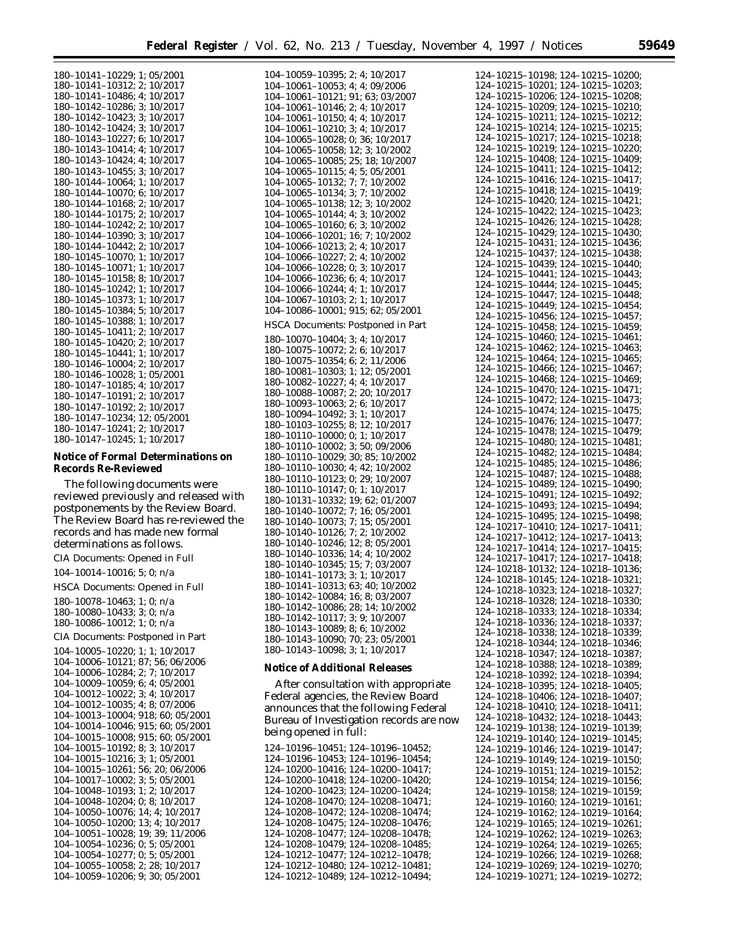104–10059–10395; 2; 4; 10/2017

180–10141–10229; 1; 05/2001 180–10141–10312; 2; 10/2017 180–10141–10486; 4; 10/2017 180–10142–10286; 3; 10/2017 180–10142–10423; 3; 10/2017 180–10142–10424; 3; 10/2017 180–10143–10227; 6; 10/2017 180–10143–10414; 4; 10/2017 180–10143–10424; 4; 10/2017 180–10143–10455; 3; 10/2017 180–10144–10064; 1; 10/2017 180–10144–10070; 6; 10/2017 180–10144–10168; 2; 10/2017 180–10144–10175; 2; 10/2017 180–10144–10242; 2; 10/2017 180–10144–10390; 3; 10/2017 180–10144–10442; 2; 10/2017 180–10145–10070; 1; 10/2017 180–10145–10071; 1; 10/2017 180–10145–10158; 8; 10/2017 180–10145–10242; 1; 10/2017 180–10145–10373; 1; 10/2017 180–10145–10384; 5; 10/2017 180–10145–10388; 1; 10/2017 180–10145–10411; 2; 10/2017 180–10145–10420; 2; 10/2017 180–10145–10441; 1; 10/2017 180–10146–10004; 2; 10/2017 180–10146–10028; 1; 05/2001 180–10147–10185; 4; 10/2017 180–10147–10191; 2; 10/2017 180–10147–10192; 2; 10/2017 180–10147–10234; 12; 05/2001 180–10147–10241; 2; 10/2017 180–10147–10245; 1; 10/2017

# **Notice of Formal Determinations on Records Re-Reviewed**

The following documents were reviewed previously and released with postponements by the Review Board. The Review Board has re-reviewed the records and has made new formal determinations as follows.

CIA Documents: Opened in Full

104–10014–10016; 5; 0; n/a

HSCA Documents: Opened in Full

180–10078–10463; 1; 0; n/a 180–10080–10433; 3; 0; n/a 180–10086–10012; 1; 0; n/a

CIA Documents: Postponed in Part

104–10005–10220; 1; 1; 10/2017 104–10006–10121; 87; 56; 06/2006 104–10006–10284; 2; 7; 10/2017 104–10009–10059; 6; 4; 05/2001 104–10012–10022; 3; 4; 10/2017 104–10012–10035; 4; 8; 07/2006 104–10013–10004; 918; 60; 05/2001 104–10014–10046; 915; 60; 05/2001 104–10015–10008; 915; 60; 05/2001 104–10015–10192; 8; 3; 10/2017 104–10015–10216; 3; 1; 05/2001 104–10015–10261; 56; 20; 06/2006 104–10017–10002; 3; 5; 05/2001 104–10048–10193; 1; 2; 10/2017 104–10048–10204; 0; 8; 10/2017 104–10050–10076; 14; 4; 10/2017 104–10050–10200; 13; 4; 10/2017 104–10051–10028; 19; 39; 11/2006 104–10054–10236; 0; 5; 05/2001 104–10054–10277; 0; 5; 05/2001 104–10055–10058; 2; 28; 10/2017 104–10059–10206; 9; 30; 05/2001

104–10061–10053; 4; 4; 09/2006 104–10061–10121; 91; 63; 03/2007 104–10061–10146; 2; 4; 10/2017 104–10061–10150; 4; 4; 10/2017 104–10061–10210; 3; 4; 10/2017 104–10065–10028; 0; 36; 10/2017 104–10065–10058; 12; 3; 10/2002 104–10065–10085; 25; 18; 10/2007 104–10065–10115; 4; 5; 05/2001 104–10065–10132; 7; 7; 10/2002 104–10065–10134; 3; 7; 10/2002 104–10065–10138; 12; 3; 10/2002 104–10065–10144; 4; 3; 10/2002 104–10065–10160; 6; 3; 10/2002 104–10066–10201; 16; 7; 10/2002 104–10066–10213; 2; 4; 10/2017 104–10066–10227; 2; 4; 10/2002 104–10066–10228; 0; 3; 10/2017 104–10066–10236; 6; 4; 10/2017 104–10066–10244; 4; 1; 10/2017 104–10067–10103; 2; 1; 10/2017 104–10086–10001; 915; 62; 05/2001 HSCA Documents: Postponed in Part 180–10070–10404; 3; 4; 10/2017 180–10075–10072; 2; 6; 10/2017 180–10075–10354; 6; 2; 11/2006 180–10081–10303; 1; 12; 05/2001 180–10082–10227; 4; 4; 10/2017 180–10088–10087; 2; 20; 10/2017 180–10093–10063; 2; 6; 10/2017 180–10094–10492; 3; 1; 10/2017 180–10103–10255; 8; 12; 10/2017 180–10110–10000; 0; 1; 10/2017 180–10110–10002; 3; 50; 09/2006 180–10110–10029; 30; 85; 10/2002 180–10110–10030; 4; 42; 10/2002 180–10110–10123; 0; 29; 10/2007 180–10110–10147; 0; 1; 10/2017 180–10131–10332; 19; 62; 01/2007 180–10140–10072; 7; 16; 05/2001 180–10140–10073; 7; 15; 05/2001 180–10140–10126; 7; 2; 10/2002 180–10140–10246; 12; 8; 05/2001 180–10140–10336; 14; 4; 10/2002 180–10140–10345; 15; 7; 03/2007 180–10141–10173; 3; 1; 10/2017 180–10141–10313; 63; 40; 10/2002 180–10142–10084; 16; 8; 03/2007 180–10142–10086; 28; 14; 10/2002 180–10142–10117; 3; 9; 10/2007 180–10143–10089; 8; 6; 10/2002 180–10143–10090; 70; 23; 05/2001 180–10143–10098; 3; 1; 10/2017

#### **Notice of Additional Releases**

After consultation with appropriate Federal agencies, the Review Board announces that the following Federal Bureau of Investigation records are now being opened in full:

124–10196–10451; 124–10196–10452; 124–10196–10453; 124–10196–10454; 124–10200–10416; 124–10200–10417; 124–10200–10418; 124–10200–10420; 124–10200–10423; 124–10200–10424; 124–10208–10470; 124–10208–10471; 124–10208–10472; 124–10208–10474; 124–10208–10475; 124–10208–10476; 124–10208–10477; 124–10208–10478; 124–10208–10479; 124–10208–10485; 124–10212–10477; 124–10212–10478; 124–10212–10480; 124–10212–10481; 124–10212–10489; 124–10212–10494;

|      | 124–10215–10198;                                 |                  |  | 124–10215–10200;                                      |
|------|--------------------------------------------------|------------------|--|-------------------------------------------------------|
|      | $124 - 10215 - 10201$ ;<br>124-10215-10206;      |                  |  |                                                       |
|      |                                                  |                  |  | 124-10215-10203;<br>124-10215-10208;                  |
|      | 124-10215-10209;                                 |                  |  | 124-10215-10210;                                      |
|      | 124-10215-10211;                                 |                  |  | 124-10215-10212;                                      |
|      |                                                  |                  |  |                                                       |
|      | 124-10215-10214;                                 |                  |  | 124-10215-10215;                                      |
|      | 124-10215-10217;                                 |                  |  | 124-10215-10218;                                      |
|      | 124-10215-10219;                                 |                  |  | 124-10215-10220;                                      |
|      | 124-10215-10408;                                 |                  |  | 124-10215-10409;                                      |
|      | 124-10215-10411;                                 |                  |  | 124–10215–10412;                                      |
|      | 124-10215-10416;                                 |                  |  | $124 - 10215 - 10417;$                                |
|      | 124-10215-10418;                                 |                  |  | 124–10215–10419;                                      |
|      | 124-10215-10420;                                 |                  |  | 124-10215-10421;                                      |
|      | 124-10215-10422;                                 |                  |  | 124-10215-10423;                                      |
|      |                                                  |                  |  |                                                       |
|      | 124-10215-10426;                                 |                  |  | 124-10215-10428;                                      |
|      | 124-10215-10429;                                 |                  |  | 124-10215-10430;                                      |
|      |                                                  |                  |  |                                                       |
|      | $124 - 10215 - 10431$ ;<br>124-10215-10437;      |                  |  | $124 - 10215 - 10436;$<br>124–10215–10438;            |
|      | 124-10215-10439;                                 |                  |  | 124-10215-10440;                                      |
|      | 124-10215-10441;                                 |                  |  | 124-10215-10443;                                      |
|      | 124-10215-10444;                                 |                  |  | 124-10215-10445;                                      |
|      | 124-10215-10447;                                 |                  |  | 124-10215-10448;                                      |
|      | 124-10215-10449;                                 |                  |  | 124-10215-10454;                                      |
|      | 124-10215-10456;                                 |                  |  |                                                       |
|      |                                                  |                  |  | 124-10215-10457;                                      |
|      | 124-10215-10458;                                 |                  |  | 124–10215–10459;                                      |
|      | 124-10215-10460;                                 |                  |  | $124 - 10215 - 10461;$                                |
|      | 124-10215-10462;                                 |                  |  | 124–10215–10463;                                      |
|      | 124-10215-10464;                                 |                  |  | 124-10215-10465;                                      |
|      | 124-10215-10466;                                 |                  |  | 124-10215-10467;                                      |
|      | 124-10215-10468;                                 |                  |  | 124-10215-10469;                                      |
|      | 124-10215-10470;                                 |                  |  | 124-10215-10471;                                      |
|      | $124 - 10215 - 10472$<br>124-10215-10474;        |                  |  | $124 - 10215 - 10473;$<br>124–10215–10475;            |
|      |                                                  |                  |  |                                                       |
|      | 124-10215-10476;                                 |                  |  | 124-10215-10477;                                      |
|      |                                                  |                  |  |                                                       |
|      | 124-10215-10478;                                 |                  |  | 124-10215-10479;                                      |
|      | 124-10215-10480;                                 |                  |  | 124-10215-10481;                                      |
|      | 124-10215-10482;                                 |                  |  | 124-10215-10484;                                      |
|      | 124-10215-10485;                                 |                  |  | 124-10215-10486;                                      |
|      | 124-10215-10487;                                 |                  |  | 124-10215-10488;                                      |
|      | 124-10215-10489;                                 |                  |  | 124-10215-10490;                                      |
|      | 124-10215-10491;                                 |                  |  | 124-10215-10492;                                      |
|      | 124-10215-10493;                                 |                  |  | 124–10215–10494;                                      |
|      | 124-10215-10495;                                 |                  |  | 124-10215-10498;                                      |
|      | 124-10217-10410;                                 |                  |  |                                                       |
|      |                                                  |                  |  | 124-10217-10411;<br>124-10217-10413;                  |
|      | $124 - 10217 - 10412;$<br>$124 - 10217 - 10414;$ |                  |  |                                                       |
|      |                                                  |                  |  | 124-10217-10415;                                      |
|      | 124-10217-10417;                                 |                  |  | 124-10217-10418;                                      |
|      | 124-10218-10132;                                 |                  |  | 124-10218-10136;                                      |
|      | 124-10218-10145;                                 |                  |  | 124-10218-10321;                                      |
|      | 124-10218-10323;                                 |                  |  | 124-10218-10327;                                      |
|      | 124-10218-10328;                                 |                  |  | 124-10218-10330;                                      |
|      | 124–10218–10333;                                 |                  |  | 124–10218–10334;                                      |
|      | 124-10218-10336;                                 |                  |  | 124-10218-10337;                                      |
|      |                                                  |                  |  |                                                       |
|      | 124–10218–10338;                                 |                  |  | 124-10218-10339;                                      |
|      | 124-10218-10344;                                 |                  |  | 124-10218-10346;                                      |
|      | 124–10218–10347;                                 |                  |  | 124–10218–10387;                                      |
|      | 124–10218–10388;                                 |                  |  | 124–10218–10389;                                      |
|      | 124–10218–10392;                                 |                  |  | 124–10218–10394;                                      |
|      | $124 - 10218 - 10395;$                           |                  |  | $124 - 10218 - 10405$ ;                               |
|      | 124-10218-10406;                                 |                  |  | 124-10218-10407;                                      |
|      | 124-10218-10410;                                 |                  |  | 124-10218-10411;                                      |
|      | 124–10218–10432;                                 |                  |  | 124–10218–10443;                                      |
|      | 124-10219-10138;                                 |                  |  |                                                       |
|      | 124-10219-10140;                                 |                  |  | 124-10219-10139;                                      |
|      |                                                  |                  |  | 124-10219-10145;                                      |
|      | 124-10219-10146;                                 |                  |  | 124-10219-10147;                                      |
|      | 124-10219-10149;                                 |                  |  | 124-10219-10150;                                      |
|      | 124-10219-10151;                                 |                  |  | 124-10219-10152;                                      |
|      |                                                  | 124-10219-10154; |  | 124-10219-10156;                                      |
|      |                                                  |                  |  |                                                       |
|      |                                                  |                  |  | 124–10219–10159;                                      |
|      | 124-10219-10158;                                 |                  |  |                                                       |
|      | 124-10219-10160;                                 |                  |  | 124-10219-10161;                                      |
|      | 124–10219–10162;                                 |                  |  | 124–10219–10164;                                      |
|      | 124-10219-10165;                                 |                  |  | 124-10219-10261;                                      |
|      | 124–10219–10262;                                 |                  |  | 124–10219–10263;                                      |
|      | 124-10219-10264;                                 |                  |  | 124-10219-10265;                                      |
| 124- | -10219–10266;                                    |                  |  | 124-10219-10268;                                      |
|      | $124 - 10219 - 10269;$                           |                  |  | 124-10219-10270;<br>124-10219-10271; 124-10219-10272; |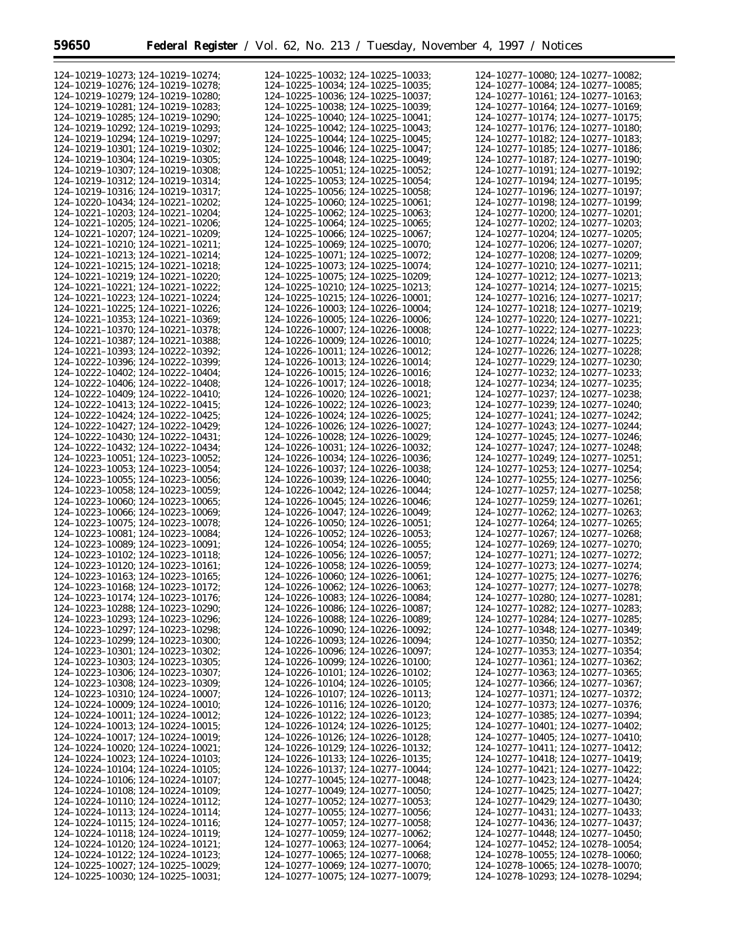Ξ

| 124-10219-10273; 124-10219-10274;                                      | 124-10225-10032; 124-10225-10033;                                      | 124-10277-10080; 124-10277-10082;                                      |
|------------------------------------------------------------------------|------------------------------------------------------------------------|------------------------------------------------------------------------|
| 124-10219-10276; 124-10219-10278;                                      | 124-10225-10034; 124-10225-10035;                                      | 124-10277-10084; 124-10277-10085;                                      |
| 124-10219-10279; 124-10219-10280;                                      | 124-10225-10036; 124-10225-10037;                                      | 124-10277-10161; 124-10277-10163;                                      |
|                                                                        |                                                                        |                                                                        |
| 124-10219-10281: 124-10219-10283:                                      | 124-10225-10038; 124-10225-10039;                                      | 124-10277-10164; 124-10277-10169;                                      |
| 124-10219-10285; 124-10219-10290;                                      | $124 - 10225 - 10040$ ; $124 - 10225 - 10041$ ;                        | 124-10277-10174; 124-10277-10175;                                      |
|                                                                        |                                                                        |                                                                        |
| 124-10219-10292; 124-10219-10293;                                      | 124-10225-10042: 124-10225-10043:                                      | 124-10277-10176: 124-10277-10180:                                      |
| 124-10219-10294: 124-10219-10297:                                      | 124-10225-10044; 124-10225-10045;                                      | 124-10277-10182; 124-10277-10183;                                      |
| 124-10219-10301; 124-10219-10302;                                      | 124-10225-10046; 124-10225-10047;                                      |                                                                        |
|                                                                        |                                                                        | 124-10277-10185; 124-10277-10186;                                      |
| 124-10219-10304; 124-10219-10305;                                      | 124-10225-10048; 124-10225-10049;                                      | 124-10277-10187; 124-10277-10190;                                      |
| 124-10219-10307; 124-10219-10308;                                      | $124 - 10225 - 10051$ ; $124 - 10225 - 10052$ ;                        | 124-10277-10191; 124-10277-10192;                                      |
|                                                                        |                                                                        |                                                                        |
| 124-10219-10312; 124-10219-10314;                                      | 124-10225-10053; 124-10225-10054;                                      | 124-10277-10194; 124-10277-10195;                                      |
| 124-10219-10316; 124-10219-10317;                                      | 124-10225-10056; 124-10225-10058;                                      | 124-10277-10196; 124-10277-10197;                                      |
| 124-10220-10434; 124-10221-10202;                                      | 124-10225-10060; 124-10225-10061;                                      | 124-10277-10198; 124-10277-10199;                                      |
|                                                                        |                                                                        |                                                                        |
| 124-10221-10203: 124-10221-10204:                                      | 124-10225-10062; 124-10225-10063;                                      | 124-10277-10200: 124-10277-10201:                                      |
| 124-10221-10205; 124-10221-10206;                                      | 124-10225-10064: 124-10225-10065:                                      | 124-10277-10202; 124-10277-10203;                                      |
|                                                                        |                                                                        |                                                                        |
| 124-10221-10207; 124-10221-10209;                                      | 124-10225-10066; 124-10225-10067;                                      | 124-10277-10204; 124-10277-10205;                                      |
| 124-10221-10210; 124-10221-10211;                                      | 124-10225-10069; 124-10225-10070;                                      | 124-10277-10206; 124-10277-10207;                                      |
| 124-10221-10213; 124-10221-10214;                                      | 124-10225-10071; 124-10225-10072;                                      | 124-10277-10208; 124-10277-10209;                                      |
|                                                                        |                                                                        |                                                                        |
| $124 - 10221 - 10215$ ; $124 - 10221 - 10218$ ;                        | 124-10225-10073; 124-10225-10074;                                      | $124 - 10277 - 10210$ ; $124 - 10277 - 10211$ ;                        |
| 124-10221-10219; 124-10221-10220;                                      | $124 - 10225 - 10075$ ; $124 - 10225 - 10209$ ;                        | 124-10277-10212; 124-10277-10213;                                      |
| 124-10221-10221; 124-10221-10222;                                      | 124-10225-10210; 124-10225-10213;                                      | 124-10277-10214; 124-10277-10215;                                      |
|                                                                        |                                                                        |                                                                        |
| 124-10221-10223; 124-10221-10224;                                      | 124-10225-10215: 124-10226-10001:                                      | 124-10277-10216; 124-10277-10217;                                      |
| 124-10221-10225: 124-10221-10226:                                      | 124-10226-10003: 124-10226-10004:                                      | 124-10277-10218; 124-10277-10219;                                      |
| 124-10221-10353: 124-10221-10369:                                      |                                                                        | 124-10277-10220: 124-10277-10221:                                      |
|                                                                        | 124-10226-10005; 124-10226-10006;                                      |                                                                        |
| 124-10221-10370; 124-10221-10378;                                      | 124-10226-10007: 124-10226-10008:                                      | 124-10277-10222; 124-10277-10223;                                      |
| 124-10221-10387; 124-10221-10388;                                      | 124-10226-10009: 124-10226-10010:                                      | 124-10277-10224; 124-10277-10225;                                      |
|                                                                        |                                                                        |                                                                        |
| 124-10221-10393; 124-10222-10392;                                      | 124-10226-10011; 124-10226-10012;                                      | 124-10277-10226: 124-10277-10228:                                      |
| 124-10222-10396: 124-10222-10399:                                      | 124-10226-10013: 124-10226-10014:                                      | 124-10277-10229; 124-10277-10230;                                      |
| 124-10222-10402: 124-10222-10404:                                      |                                                                        |                                                                        |
|                                                                        | 124-10226-10015: 124-10226-10016:                                      | 124-10277-10232; 124-10277-10233;                                      |
| 124-10222-10406: 124-10222-10408:                                      | 124-10226-10017; 124-10226-10018;                                      | 124-10277-10234: 124-10277-10235:                                      |
| 124-10222-10409: 124-10222-10410:                                      | 124-10226-10020: 124-10226-10021:                                      | 124-10277-10237; 124-10277-10238;                                      |
|                                                                        |                                                                        |                                                                        |
| 124-10222-10413; 124-10222-10415;                                      | 124-10226-10022: 124-10226-10023:                                      | 124-10277-10239: 124-10277-10240:                                      |
| 124-10222-10424; 124-10222-10425;                                      | 124-10226-10024; 124-10226-10025;                                      | 124-10277-10241; 124-10277-10242;                                      |
| 124-10222-10427; 124-10222-10429;                                      | 124-10226-10026; 124-10226-10027;                                      | 124-10277-10243; 124-10277-10244;                                      |
|                                                                        |                                                                        |                                                                        |
| 124-10222-10430; 124-10222-10431;                                      | 124-10226-10028; 124-10226-10029;                                      | 124-10277-10245; 124-10277-10246;                                      |
| 124-10222-10432; 124-10222-10434;                                      | 124-10226-10031; 124-10226-10032;                                      | 124-10277-10247; 124-10277-10248;                                      |
|                                                                        |                                                                        |                                                                        |
| 124-10223-10051; 124-10223-10052;                                      | 124-10226-10034; 124-10226-10036;                                      | 124-10277-10249; 124-10277-10251;                                      |
| 124-10223-10053; 124-10223-10054;                                      | 124-10226-10037; 124-10226-10038;                                      | 124-10277-10253; 124-10277-10254;                                      |
| 124-10223-10055; 124-10223-10056;                                      | 124-10226-10039; 124-10226-10040;                                      | 124-10277-10255; 124-10277-10256;                                      |
|                                                                        |                                                                        |                                                                        |
| 124-10223-10058; 124-10223-10059;                                      | 124-10226-10042; 124-10226-10044;                                      | 124-10277-10257; 124-10277-10258;                                      |
| 124-10223-10060; 124-10223-10065;                                      | 124-10226-10045; 124-10226-10046;                                      | 124-10277-10259; 124-10277-10261;                                      |
|                                                                        |                                                                        |                                                                        |
| 124-10223-10066; 124-10223-10069;                                      | 124-10226-10047; 124-10226-10049;                                      | 124-10277-10262; 124-10277-10263;                                      |
| 124-10223-10075; 124-10223-10078;                                      | $124 - 10226 - 10050$ ; $124 - 10226 - 10051$ ;                        | 124-10277-10264; 124-10277-10265;                                      |
| 124-10223-10081; 124-10223-10084;                                      | 124-10226-10052: 124-10226-10053:                                      | 124-10277-10267: 124-10277-10268:                                      |
|                                                                        |                                                                        |                                                                        |
| 124-10223-10089; 124-10223-10091;                                      | 124-10226-10054; 124-10226-10055;                                      | 124-10277-10269: 124-10277-10270:                                      |
| 124-10223-10102; 124-10223-10118;                                      | 124-10226-10056; 124-10226-10057;                                      | 124-10277-10271; 124-10277-10272;                                      |
| 124-10223-10120: 124-10223-10161:                                      | 124-10226-10058; 124-10226-10059;                                      | 124-10277-10273; 124-10277-10274;                                      |
|                                                                        |                                                                        |                                                                        |
| 124-10223-10163; 124-10223-10165;                                      | 124-10226-10060; 124-10226-10061;                                      | 124-10277-10275; 124-10277-10276;                                      |
| 124-10223-10168: 124-10223-10172:                                      | 124-10226-10062; 124-10226-10063;                                      | 124-10277-10277; 124-10277-10278;                                      |
| 124-10223-10174; 124-10223-10176;                                      |                                                                        |                                                                        |
|                                                                        | 124-10226-10083; 124-10226-10084;                                      | 124-10277-10280; 124-10277-10281;                                      |
| 124-10223-10288; 124-10223-10290;                                      | 124-10226-10086; 124-10226-10087;                                      | 124-10277-10282; 124-10277-10283;                                      |
| 124-10223-10293; 124-10223-10296;                                      | 124-10226-10088; 124-10226-10089;                                      | 124-10277-10284; 124-10277-10285;                                      |
|                                                                        | 124-10226-10090; 124-10226-10092;                                      |                                                                        |
| 124-10223-10297; 124-10223-10298;                                      |                                                                        | $124 - 10277 - 10348$ ; $124 - 10277 - 10349$ ;                        |
| 124-10223-10299; 124-10223-10300;                                      | 124-10226-10093; 124-10226-10094;                                      | 124-10277-10350; 124-10277-10352;                                      |
| 124-10223-10301; 124-10223-10302;                                      | 124-10226-10096; 124-10226-10097;                                      | 124-10277-10353; 124-10277-10354;                                      |
|                                                                        |                                                                        |                                                                        |
| 124-10223-10303; 124-10223-10305;                                      | $124 - 10226 - 10099$ ; $124 - 10226 - 10100$ ;                        | 124-10277-10361; 124-10277-10362;                                      |
| 124-10223-10306; 124-10223-10307;                                      | 124-10226-10101; 124-10226-10102;                                      | 124-10277-10363; 124-10277-10365;                                      |
| 124-10223-10308; 124-10223-10309;                                      | 124-10226-10104; 124-10226-10105;                                      | 124-10277-10366; 124-10277-10367;                                      |
|                                                                        |                                                                        |                                                                        |
| 124-10223-10310; 124-10224-10007;                                      | 124-10226-10107; 124-10226-10113;                                      | 124-10277-10371; 124-10277-10372;                                      |
| 124-10224-10009; 124-10224-10010;                                      | 124-10226-10116; 124-10226-10120;                                      | 124-10277-10373; 124-10277-10376;                                      |
|                                                                        |                                                                        |                                                                        |
| 124-10224-10011; 124-10224-10012;                                      | 124-10226-10122; 124-10226-10123;                                      | 124-10277-10385; 124-10277-10394;                                      |
| 124-10224-10013; 124-10224-10015;                                      | 124-10226-10124; 124-10226-10125;                                      | 124-10277-10401; 124-10277-10402;                                      |
| 124-10224-10017; 124-10224-10019;                                      |                                                                        |                                                                        |
|                                                                        |                                                                        |                                                                        |
| $124 - 10224 - 10020$ ; $124 - 10224 - 10021$ ;                        | 124-10226-10126; 124-10226-10128;                                      | 124-10277-10405; 124-10277-10410;                                      |
| 124-10224-10023; 124-10224-10103;                                      | 124-10226-10129; 124-10226-10132;                                      | 124-10277-10411; 124-10277-10412;                                      |
|                                                                        | 124-10226-10133; 124-10226-10135;                                      | 124-10277-10418; 124-10277-10419;                                      |
|                                                                        |                                                                        |                                                                        |
| 124-10224-10104; 124-10224-10105;                                      | 124-10226-10137; 124-10277-10044;                                      | 124-10277-10421; 124-10277-10422;                                      |
| 124-10224-10106; 124-10224-10107;                                      | 124-10277-10045; 124-10277-10048;                                      | 124-10277-10423; 124-10277-10424;                                      |
|                                                                        |                                                                        |                                                                        |
| $124-10224-10108$ ; $124-10224-10109$ ;                                | 124-10277-10049; 124-10277-10050;                                      | 124-10277-10425; 124-10277-10427;                                      |
| 124-10224-10110; 124-10224-10112;                                      | 124-10277-10052; 124-10277-10053;                                      | 124-10277-10429; 124-10277-10430;                                      |
| 124-10224-10113; 124-10224-10114;                                      | $124 - 10277 - 10055$ ; $124 - 10277 - 10056$ ;                        | 124-10277-10431; 124-10277-10433;                                      |
|                                                                        |                                                                        |                                                                        |
| 124-10224-10115; 124-10224-10116;                                      | 124-10277-10057; 124-10277-10058;                                      | 124-10277-10436; 124-10277-10437;                                      |
| 124-10224-10118; 124-10224-10119;                                      | 124-10277-10059; 124-10277-10062;                                      | 124-10277-10448; 124-10277-10450;                                      |
| 124-10224-10120; 124-10224-10121;                                      | 124-10277-10063; 124-10277-10064;                                      | 124-10277-10452; 124-10278-10054;                                      |
|                                                                        |                                                                        |                                                                        |
| 124-10224-10122; 124-10224-10123;                                      | 124-10277-10065; 124-10277-10068;                                      | 124-10278-10055; 124-10278-10060;                                      |
| 124-10225-10027; 124-10225-10029;<br>124-10225-10030; 124-10225-10031; | 124-10277-10069; 124-10277-10070;<br>124-10277-10075; 124-10277-10079; | 124-10278-10065; 124-10278-10070;<br>124-10278-10293; 124-10278-10294; |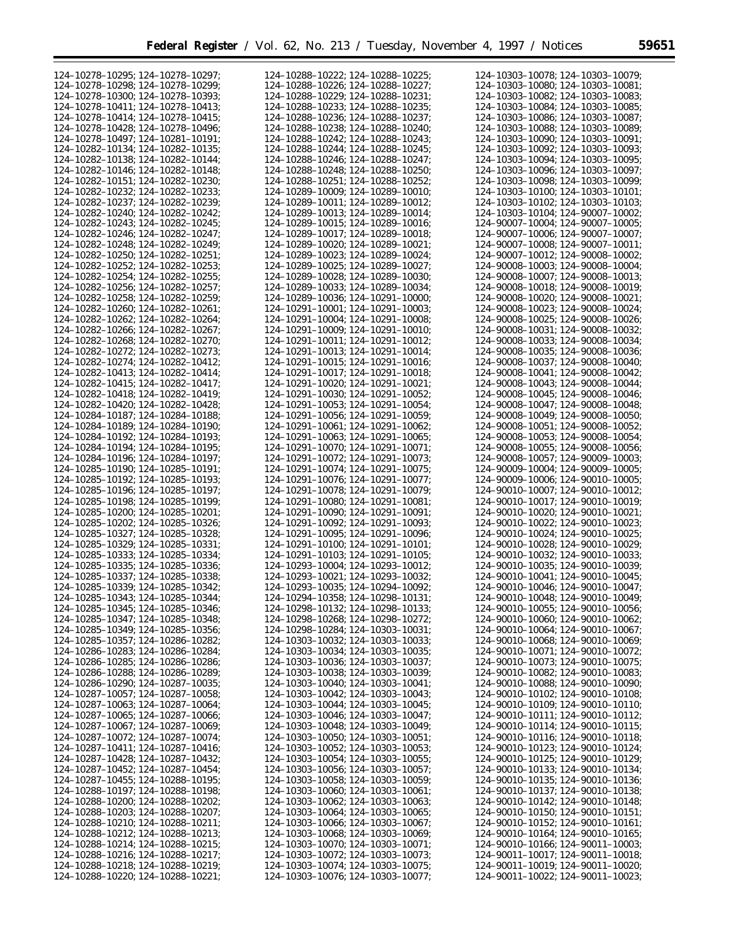| 124-10278-10295; 124-10278-10297;               | 124-10288-10222; 124-10288-10225;               | 124-10303-10078; 124-10303-10079;               |
|-------------------------------------------------|-------------------------------------------------|-------------------------------------------------|
|                                                 |                                                 |                                                 |
| 124-10278-10298; 124-10278-10299;               | 124-10288-10226; 124-10288-10227;               | 124-10303-10080; 124-10303-10081;               |
| 124-10278-10300; 124-10278-10393;               | 124-10288-10229; 124-10288-10231;               | 124-10303-10082; 124-10303-10083;               |
| 124-10278-10411: 124-10278-10413:               | 124-10288-10233; 124-10288-10235;               | 124-10303-10084; 124-10303-10085;               |
| 124-10278-10414; 124-10278-10415;               | 124-10288-10236; 124-10288-10237;               | 124-10303-10086; 124-10303-10087;               |
| 124-10278-10428; 124-10278-10496;               | 124-10288-10238; 124-10288-10240;               | 124-10303-10088: 124-10303-10089:               |
|                                                 |                                                 |                                                 |
| 124-10278-10497; 124-10281-10191;               | 124-10288-10242; 124-10288-10243;               | 124-10303-10090; 124-10303-10091;               |
| 124-10282-10134; 124-10282-10135;               | 124-10288-10244: 124-10288-10245:               | 124-10303-10092: 124-10303-10093:               |
| 124-10282-10138; 124-10282-10144;               | 124-10288-10246; 124-10288-10247;               | 124-10303-10094; 124-10303-10095;               |
| 124-10282-10146; 124-10282-10148;               | 124-10288-10248; 124-10288-10250;               | 124-10303-10096; 124-10303-10097;               |
|                                                 |                                                 |                                                 |
| 124-10282-10151; 124-10282-10230;               | 124-10288-10251; 124-10288-10252;               | 124-10303-10098; 124-10303-10099;               |
| 124-10282-10232: 124-10282-10233:               | 124-10289-10009: 124-10289-10010:               | 124-10303-10100; 124-10303-10101;               |
| 124-10282-10237; 124-10282-10239;               | 124-10289-10011; 124-10289-10012;               | 124-10303-10102; 124-10303-10103;               |
| 124-10282-10240; 124-10282-10242;               | 124-10289-10013; 124-10289-10014;               | 124-10303-10104; 124-90007-10002;               |
|                                                 |                                                 |                                                 |
| 124-10282-10243: 124-10282-10245:               | 124-10289-10015; 124-10289-10016;               | 124-90007-10004; 124-90007-10005;               |
| 124-10282-10246: 124-10282-10247:               | 124-10289-10017; 124-10289-10018;               | 124-90007-10006; 124-90007-10007;               |
| 124-10282-10248; 124-10282-10249;               | 124-10289-10020; 124-10289-10021;               | 124-90007-10008; 124-90007-10011;               |
| $124 - 10282 - 10250$ ; $124 - 10282 - 10251$ ; | 124-10289-10023; 124-10289-10024;               | 124-90007-10012; 124-90008-10002;               |
|                                                 |                                                 |                                                 |
| 124-10282-10252; 124-10282-10253;               | 124-10289-10025; 124-10289-10027;               | 124-90008-10003; 124-90008-10004;               |
| 124-10282-10254; 124-10282-10255;               | 124-10289-10028; 124-10289-10030;               | 124-90008-10007; 124-90008-10013;               |
| 124-10282-10256; 124-10282-10257;               | 124-10289-10033; 124-10289-10034;               | 124-90008-10018; 124-90008-10019;               |
| 124-10282-10258; 124-10282-10259;               | 124-10289-10036; 124-10291-10000;               | 124-90008-10020; 124-90008-10021;               |
|                                                 |                                                 |                                                 |
| 124-10282-10260: 124-10282-10261:               | 124-10291-10001: 124-10291-10003:               | 124-90008-10023; 124-90008-10024;               |
| 124-10282-10262: 124-10282-10264:               | 124-10291-10004; 124-10291-10008;               | 124-90008-10025: 124-90008-10026:               |
| 124-10282-10266: 124-10282-10267:               | 124-10291-10009: 124-10291-10010:               | 124-90008-10031: 124-90008-10032:               |
| 124-10282-10268: 124-10282-10270:               | 124-10291-10011; 124-10291-10012;               | 124-90008-10033: 124-90008-10034:               |
| 124-10282-10272: 124-10282-10273:               | 124-10291-10013: 124-10291-10014:               | 124-90008-10035: 124-90008-10036:               |
|                                                 |                                                 |                                                 |
| 124-10282-10274: 124-10282-10412:               | 124-10291-10015; 124-10291-10016;               | 124-90008-10037; 124-90008-10040;               |
| 124-10282-10413: 124-10282-10414:               | 124-10291-10017: 124-10291-10018:               | 124-90008-10041: 124-90008-10042:               |
| 124-10282-10415; 124-10282-10417;               | $124 - 10291 - 10020$ ; $124 - 10291 - 10021$ ; | 124-90008-10043: 124-90008-10044:               |
| 124-10282-10418; 124-10282-10419;               | $124 - 10291 - 10030$ ; $124 - 10291 - 10052$ ; | 124-90008-10045; 124-90008-10046;               |
|                                                 |                                                 |                                                 |
| 124-10282-10420: 124-10282-10428:               | 124-10291-10053; 124-10291-10054;               | 124-90008-10047; 124-90008-10048;               |
| 124-10284-10187; 124-10284-10188;               | 124-10291-10056; 124-10291-10059;               | 124-90008-10049; 124-90008-10050;               |
| 124-10284-10189; 124-10284-10190;               | 124-10291-10061; 124-10291-10062;               | 124-90008-10051; 124-90008-10052;               |
| 124-10284-10192; 124-10284-10193;               | 124-10291-10063; 124-10291-10065;               | 124-90008-10053; 124-90008-10054;               |
|                                                 |                                                 |                                                 |
| 124-10284-10194; 124-10284-10195;               | $124 - 10291 - 10070$ ; $124 - 10291 - 10071$ ; | 124-90008-10055; 124-90008-10056;               |
| 124-10284-10196; 124-10284-10197;               | 124-10291-10072; 124-10291-10073;               | 124-90008-10057; 124-90009-10003;               |
| $124 - 10285 - 10190$ ; $124 - 10285 - 10191$ ; | 124-10291-10074; 124-10291-10075;               | 124-90009-10004; 124-90009-10005;               |
| 124-10285-10192; 124-10285-10193;               | 124-10291-10076; 124-10291-10077;               | 124-90009-10006; 124-90010-10005;               |
|                                                 |                                                 |                                                 |
| 124-10285-10196; 124-10285-10197;               | 124-10291-10078; 124-10291-10079;               | 124-90010-10007; 124-90010-10012;               |
| 124-10285-10198; 124-10285-10199;               | $124 - 10291 - 10080$ ; $124 - 10291 - 10081$ ; | 124-90010-10017; 124-90010-10019;               |
| $124 - 10285 - 10200$ ; $124 - 10285 - 10201$ ; | $124 - 10291 - 10090$ ; $124 - 10291 - 10091$ ; | 124-90010-10020; 124-90010-10021;               |
| 124-10285-10202; 124-10285-10326;               | 124-10291-10092; 124-10291-10093;               | 124-90010-10022; 124-90010-10023;               |
| 124-10285-10327: 124-10285-10328:               | 124-10291-10095; 124-10291-10096;               | 124-90010-10024: 124-90010-10025:               |
| 124-10285-10329: 124-10285-10331:               | 124-10291-10100: 124-10291-10101:               | 124-90010-10028; 124-90010-10029;               |
|                                                 |                                                 |                                                 |
| 124-10285-10333: 124-10285-10334:               | 124-10291-10103: 124-10291-10105:               | 124-90010-10032: 124-90010-10033:               |
| 124-10285-10335: 124-10285-10336:               | 124-10293-10004; 124-10293-10012;               | 124-90010-10035: 124-90010-10039:               |
| 124-10285-10337; 124-10285-10338;               | 124-10293-10021: 124-10293-10032:               | 124-90010-10041: 124-90010-10045:               |
| 124-10285-10339; 124-10285-10342;               | 124-10293-10035; 124-10294-10092;               | 124-90010-10046; 124-90010-10047;               |
|                                                 |                                                 |                                                 |
| 124-10285-10343; 124-10285-10344;               | 124-10294-10358; 124-10298-10131;               | 124-90010-10048; 124-90010-10049;               |
| 124-10285-10345; 124-10285-10346;               | 124-10298-10132; 124-10298-10133;               | 124-90010-10055; 124-90010-10056;               |
| 124-10285-10347; 124-10285-10348;               | $124-10298-10268$ ; $124-10298-10272$ ;         | 124-90010-10060; 124-90010-10062;               |
| $124 - 10285 - 10349$ ; $124 - 10285 - 10356$ ; | 124-10298-10284; 124-10303-10031;               | $124 - 90010 - 10064$ ; $124 - 90010 - 10067$ ; |
|                                                 |                                                 |                                                 |
| 124-10285-10357; 124-10286-10282;               | 124-10303-10032; 124-10303-10033;               | $124 - 90010 - 10068$ ; $124 - 90010 - 10069$ ; |
| 124-10286-10283; 124-10286-10284;               | 124-10303-10034; 124-10303-10035;               | $124 - 90010 - 10071$ ; $124 - 90010 - 10072$ ; |
| 124-10286-10285; 124-10286-10286;               | 124-10303-10036; 124-10303-10037;               | 124-90010-10073; 124-90010-10075;               |
| $124 - 10286 - 10288$ ; $124 - 10286 - 10289$ ; | 124-10303-10038; 124-10303-10039;               | 124-90010-10082; 124-90010-10083;               |
| 124-10286-10290; 124-10287-10035;               | 124-10303-10040; 124-10303-10041;               | 124-90010-10088; 124-90010-10090;               |
|                                                 |                                                 |                                                 |
| $124 - 10287 - 10057$ ; $124 - 10287 - 10058$ ; | 124-10303-10042; 124-10303-10043;               | $124 - 90010 - 10102$ ; $124 - 90010 - 10108$ ; |
| 124-10287-10063; 124-10287-10064;               | 124-10303-10044; 124-10303-10045;               | $124 - 90010 - 10109$ ; $124 - 90010 - 10110$ ; |
| $124 - 10287 - 10065$ ; $124 - 10287 - 10066$ ; | 124-10303-10046; 124-10303-10047;               | $124 - 90010 - 10111$ ; $124 - 90010 - 10112$ ; |
| 124-10287-10067; 124-10287-10069;               | 124-10303-10048; 124-10303-10049;               | $124 - 90010 - 10114$ ; $124 - 90010 - 10115$ ; |
|                                                 |                                                 |                                                 |
| 124-10287-10072; 124-10287-10074;               | $124 - 10303 - 10050$ ; $124 - 10303 - 10051$ ; | 124-90010-10116; 124-90010-10118;               |
| 124-10287-10411; 124-10287-10416;               | 124-10303-10052; 124-10303-10053;               | 124-90010-10123; 124-90010-10124;               |
| $124 - 10287 - 10428$ ; $124 - 10287 - 10432$ ; | $124-10303-10054$ ; $124-10303-10055$ ;         | $124 - 90010 - 10125$ ; $124 - 90010 - 10129$ ; |
| 124-10287-10452; 124-10287-10454;               | 124-10303-10056; 124-10303-10057;               | $124 - 90010 - 10133$ ; $124 - 90010 - 10134$ ; |
| $124 - 10287 - 10455$ ; 124-10288-10195;        | $124-10303-10058$ ; $124-10303-10059$ ;         | $124 - 90010 - 10135$ ; $124 - 90010 - 10136$ ; |
|                                                 |                                                 |                                                 |
| 124-10288-10197; 124-10288-10198;               | 124-10303-10060; 124-10303-10061;               | 124-90010-10137; 124-90010-10138;               |
| $124 - 10288 - 10200$ ; $124 - 10288 - 10202$ ; | 124-10303-10062; 124-10303-10063;               | $124 - 90010 - 10142$ ; $124 - 90010 - 10148$ ; |
| 124-10288-10203; 124-10288-10207;               | 124-10303-10064; 124-10303-10065;               | $124 - 90010 - 10150$ ; $124 - 90010 - 10151$ ; |
| $124 - 10288 - 10210$ ; $124 - 10288 - 10211$ ; | $124-10303-10066$ ; $124-10303-10067$ ;         | $124 - 90010 - 10152$ ; $124 - 90010 - 10161$ ; |
|                                                 |                                                 |                                                 |
| 124-10288-10212; 124-10288-10213;               | 124-10303-10068; 124-10303-10069;               | $124 - 90010 - 10164$ ; $124 - 90010 - 10165$ ; |
| $124 - 10288 - 10214$ ; $124 - 10288 - 10215$ ; | 124-10303-10070; 124-10303-10071;               | $124 - 90010 - 10166$ ; $124 - 90011 - 10003$ ; |
| 124-10288-10216; 124-10288-10217;               | 124-10303-10072; 124-10303-10073;               | 124-90011-10017; 124-90011-10018;               |
| 124-10288-10218; 124-10288-10219;               | 124-10303-10074; 124-10303-10075;               | $124 - 90011 - 10019$ ; $124 - 90011 - 10020$ ; |
|                                                 |                                                 |                                                 |
| 124-10288-10220; 124-10288-10221;               | 124-10303-10076; 124-10303-10077;               | $124 - 90011 - 10022$ ; $124 - 90011 - 10023$ ; |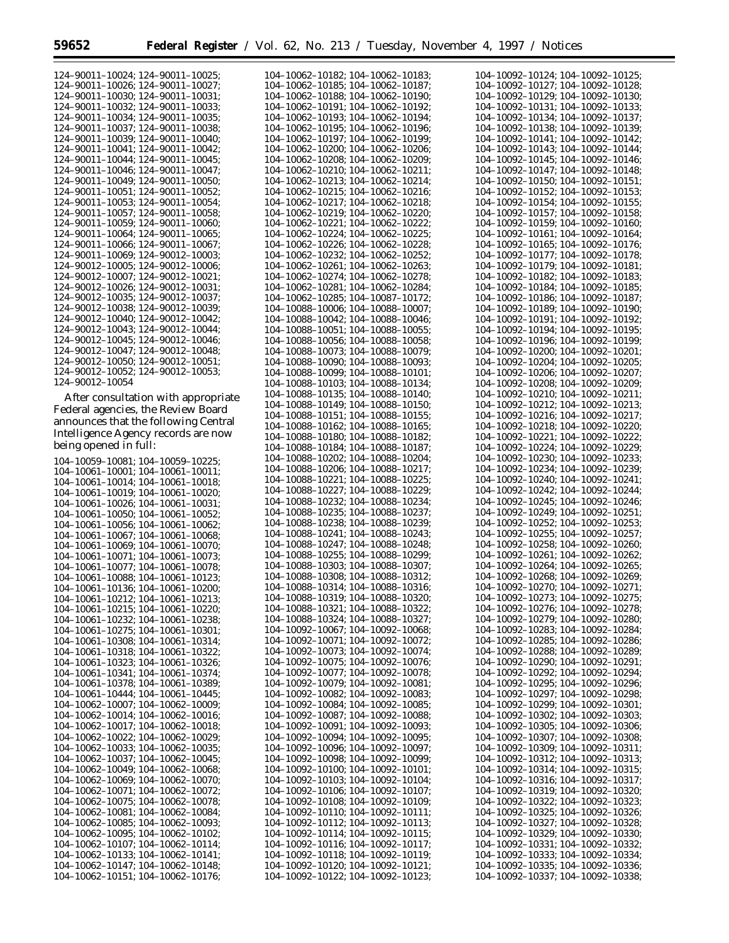| 124-90011-10024; 124-90011-10025;<br>124-90011-10026; 124-90011-10027;<br>124-90011-10030; 124-90011-10031;<br>124-90011-10032; 124-90011-10033;<br>124-90011-10034; 124-90011-10035;<br>124-90011-10037; 124-90011-10038;<br>124-90011-10039; 124-90011-10040; |
|-----------------------------------------------------------------------------------------------------------------------------------------------------------------------------------------------------------------------------------------------------------------|
| 124-90011-10041; 124-90011-10042;<br>124-90011-10044; 124-90011-10045;                                                                                                                                                                                          |
| 124-90011-10046; 124-90011-10047;<br>124-90011-10049; 124-90011-10050;                                                                                                                                                                                          |
| 124-90011-10051; 124-90011-10052;                                                                                                                                                                                                                               |
| 124-90011-10053; 124-90011-10054;<br>124-90011-10057; 124-90011-10058;                                                                                                                                                                                          |
| 124-90011-10059; 124-90011-10060;<br>124-90011-10064; 124-90011-10065;                                                                                                                                                                                          |
| 124-90011-10066; 124-90011-10067;                                                                                                                                                                                                                               |
| 124-90011-10069; 124-90012-10003;<br>124-90012-10005; 124-90012-10006;                                                                                                                                                                                          |
| 124-90012-10007; 124-90012-10021;                                                                                                                                                                                                                               |
| 124-90012-10026; 124-90012-10031;<br>124-90012-10035; 124-90012-10037;                                                                                                                                                                                          |
| 124-90012-10038; 124-90012-10039;                                                                                                                                                                                                                               |
| 124-90012-10040; 124-90012-10042;                                                                                                                                                                                                                               |
| 124-90012-10043; 124-90012-10044;<br>124-90012-10045; 124-90012-10046;                                                                                                                                                                                          |
| 124-90012-10047; 124-90012-10048;                                                                                                                                                                                                                               |
| 124-90012-10050; 124-90012-10051;<br>124-90012-10052; 124-90012-10053;                                                                                                                                                                                          |
| 124-90012-10054                                                                                                                                                                                                                                                 |

After consultation with appropriate Federal agencies, the Review Board announces that the following Central Intelligence Agency records are now being opened in full:

104–10059–10081; 104–10059–10225; 104–10061–10001; 104–10061–10011; 104–10061–10014; 104–10061–10018; 104–10061–10019; 104–10061–10020; 104–10061–10026; 104–10061–10031; 104–10061–10050; 104–10061–10052; 104–10061–10056; 104–10061–10062; 104–10061–10067; 104–10061–10068; 104–10061–10069; 104–10061–10070; 104–10061–10071; 104–10061–10073; 104–10061–10077; 104–10061–10078; 104–10061–10088; 104–10061–10123; 104–10061–10136; 104–10061–10200; 104–10061–10212; 104–10061–10213; 104–10061–10215; 104–10061–10220; 104–10061–10232; 104–10061–10238; 104–10061–10275; 104–10061–10301; 104–10061–10308; 104–10061–10314; 104–10061–10318; 104–10061–10322; 104–10061–10323; 104–10061–10326; 104–10061–10341; 104–10061–10374; 104–10061–10378; 104–10061–10389; 104–10061–10444; 104–10061–10445; 104–10062–10007; 104–10062–10009; 104–10062–10014; 104–10062–10016; 104–10062–10017; 104–10062–10018; 104–10062–10022; 104–10062–10029; 104–10062–10033; 104–10062–10035; 104–10062–10037; 104–10062–10045; 104–10062–10049; 104–10062–10068; 104–10062–10069; 104–10062–10070; 104–10062–10071; 104–10062–10072; 104–10062–10075; 104–10062–10078; 104–10062–10081; 104–10062–10084; 104–10062–10085; 104–10062–10093; 104–10062–10095; 104–10062–10102; 104–10062–10107; 104–10062–10114; 104–10062–10133; 104–10062–10141; 104–10062–10147; 104–10062–10148; 104–10062–10151; 104–10062–10176;

| 104-10062-10182;                           |  | 104-10062-10183;                     |  |
|--------------------------------------------|--|--------------------------------------|--|
| 104-10062-10185;                           |  | 104-10062-10187;                     |  |
| 104-10062-10188;                           |  | 104-10062-10190;                     |  |
| 104–10062–10191;                           |  | 104–10062–10192;                     |  |
| 104-10062-10193;                           |  | 104-10062-10194;                     |  |
| 104-10062-10195;<br>$104 - 10062 - 10197;$ |  | 104–10062–10196;                     |  |
|                                            |  | 104-10062-10199;<br>104-10062-10206; |  |
| 104-10062-10200;<br>104-10062-10208;       |  | 104-10062-10209;                     |  |
| 104-10062-10210;                           |  | 104-10062-10211;                     |  |
| 104-10062-10213;                           |  | 104-10062-10214;                     |  |
| 104-10062-10215;                           |  | 104-10062-10216;                     |  |
| 104-10062-10217;                           |  | 104-10062-10218;                     |  |
| 104-10062-10219;                           |  | 104-10062-10220;                     |  |
| $104 - 10062 - 10221$ ;                    |  | 104-10062-10222;                     |  |
| 104-10062-10224;                           |  | 104-10062-10225;                     |  |
| 104-10062-10226;                           |  | 104-10062-10228;                     |  |
| 104–10062–10232;                           |  | 104–10062–10252;                     |  |
| 104–10062–10261;                           |  | 104-10062-10263;                     |  |
| 104–10062–10274;                           |  | 104-10062-10278;                     |  |
| 104–10062–10281;                           |  | 104-10062-10284;                     |  |
| 104–10062–10285;                           |  | 104–10087–10172;                     |  |
| 104-10088-10006;                           |  | 104-10088-10007;                     |  |
| 104–10088–10042;                           |  | 104-10088-10046;                     |  |
| 104–10088–10051;                           |  | 104-10088-10055;                     |  |
| 104–10088–10056;<br>104–10088–10073;       |  | 104-10088-10058;<br>104-10088-10079; |  |
| 104–10088–10090;                           |  | 104–10088–10093;                     |  |
| 104–10088–10099;                           |  | 104-10088-10101;                     |  |
| 104–10088–10103;                           |  | 104–10088–10134;                     |  |
| 104–10088–10135;                           |  | 104–10088–10140;                     |  |
| 104–10088–10149;                           |  | 104–10088–10150:                     |  |
| 104-10088-10151;                           |  | 104-10088-10155;                     |  |
| 104–10088–10162;                           |  | 104–10088–10165;                     |  |
| 104–10088–10180;                           |  | 104–10088–10182;                     |  |
| 104–10088–10184;                           |  | 104–10088–10187;                     |  |
| 104–10088–10202;                           |  | 104–10088–10204;                     |  |
| 104–10088–10206;                           |  | 104–10088–10217;                     |  |
| 104–10088–10221;                           |  | 104–10088–10225;                     |  |
|                                            |  |                                      |  |
| 104–10088–10227;                           |  | 104–10088–10229;                     |  |
| 104-10088-10232;                           |  | 104–10088–10234;                     |  |
| 104–10088–10235;                           |  | 104–10088–10237;                     |  |
| 104–10088–10238;                           |  | 104–10088–10239;                     |  |
| 104–10088–10241;                           |  | 104-10088-10243;                     |  |
| 104–10088–10247;                           |  | 104–10088–10248;                     |  |
| 104–10088–10255;                           |  | 104-10088-10299;                     |  |
| 104–10088–10303;                           |  | 104-10088-10307;                     |  |
| 104–10088–10308;<br>104-10088-10314;       |  | 104-10088-10312;<br>104-10088-10316; |  |
| 104–10088–10319;                           |  | 104-10088-10320;                     |  |
| 104–10088–10321;                           |  | 104–10088–10322;                     |  |
| 104–10088–10324;                           |  | 104–10088–10327;                     |  |
| 104-10092-10067;                           |  | 104-10092-10068;                     |  |
| 104–10092–10071;                           |  | 104–10092–10072;                     |  |
| 104–10092–10073;                           |  | 104–10092–10074;                     |  |
| 104–10092–10075;                           |  | 104-10092-10076;                     |  |
| 104-10092-10077;                           |  | 104-10092-10078;                     |  |
| 104-10092-10079;                           |  | 104–10092–10081;                     |  |
| 104–10092–10082;                           |  | 104–10092–10083;                     |  |
| 104–10092–10084;                           |  | 104-10092-10085;                     |  |
| 104-10092-10087;                           |  | 104-10092-10088;                     |  |
| 104-10092-10091;<br>104-10092-10094;       |  | 104–10092–10093;<br>104–10092–10095; |  |
| 104–10092–10096;                           |  | 104-10092-10097;                     |  |
| 104-10092-10098;                           |  | 104-10092-10099;                     |  |
| 104–10092–10100;                           |  | 104–10092–10101;                     |  |
| 104–10092–10103;                           |  | 104–10092–10104;                     |  |
| 104–10092–10106;                           |  | 104-10092-10107;                     |  |
| 104-10092-10108;                           |  | 104-10092-10109;                     |  |
| 104–10092–10110;                           |  | 104–10092–10111;                     |  |
| 104–10092–10112;                           |  | 104-10092-10113;                     |  |
| 104–10092–10114;                           |  | 104-10092-10115;                     |  |
| 104–10092–10116;                           |  | 104-10092-10117;                     |  |
| 104-10092-10118;<br>104-10092-10120;       |  | 104-10092-10119;<br>104-10092-10121; |  |

|                                      |  | 104-10092-10125:                     |
|--------------------------------------|--|--------------------------------------|
| 104–10092–10124;                     |  |                                      |
| 104-10092-10127;                     |  | 104-10092-10128;                     |
| 104-10092-10129;                     |  | 104-10092-10130;                     |
| $104 - 10092 - 10131;$               |  | 104-10092-10133;                     |
|                                      |  |                                      |
| 104-10092-10134;                     |  | 104-10092-10137;                     |
| 104-10092-10138;                     |  | 104-10092-10139;                     |
| $104 - 10092 - 10141;$               |  | 104-10092-10142;                     |
| 104-10092-10143;                     |  | 104-10092-10144;                     |
|                                      |  |                                      |
| $104 - 10092 - 10145;$               |  | 104-10092-10146;                     |
| 104-10092-10147;                     |  | 104-10092-10148;                     |
| $104 - 10092 - 10150$ ;              |  | 104-10092-10151;                     |
|                                      |  |                                      |
| 104-10092-10152;                     |  | 104-10092-10153;                     |
| $104 - 10092 - 10154;$               |  | 104-10092-10155;                     |
| 104-10092-10157;                     |  | 104-10092-10158;                     |
| 104-10092-10159;                     |  | 104-10092-10160;                     |
|                                      |  |                                      |
| 104-10092-10161;                     |  | 104-10092-10164;                     |
| 104-10092-10165;                     |  | 104-10092-10176;                     |
| 104-10092-10177;                     |  | 104-10092-10178;                     |
|                                      |  |                                      |
| 104-10092-10179;                     |  | 104-10092-10181;                     |
| 104-10092-10182;                     |  | 104-10092-10183;                     |
| 104-10092-10184;                     |  | 104-10092-10185;                     |
|                                      |  |                                      |
| 104-10092-10186;                     |  | 104-10092-10187;                     |
| 104-10092-10189;                     |  | 104-10092-10190;                     |
| 104-10092-10191;                     |  | 104-10092-10192:                     |
| 104-10092-10194;                     |  |                                      |
|                                      |  | 104-10092-10195;                     |
| 104-10092-10196;                     |  | 104-10092-10199;                     |
| 104-10092-10200;                     |  | 104-10092-10201;                     |
|                                      |  |                                      |
| 104-10092-10204;                     |  | 104-10092-10205;                     |
| 104-10092-10206;                     |  | 104-10092-10207;                     |
| 104-10092-10208;                     |  | 104-10092-10209;                     |
| 104-10092-10210;                     |  |                                      |
|                                      |  | 104-10092-10211;                     |
| 104-10092-10212;                     |  | 104-10092-10213:                     |
| 104-10092-10216;                     |  | 104-10092-10217;                     |
| 104-10092-10218;                     |  | 104-10092-10220;                     |
|                                      |  |                                      |
| $104 - 10092 - 10221$ ;              |  | 104-10092-10222;                     |
| 104-10092-10224;                     |  | 104-10092-10229;                     |
| 104-10092-10230;                     |  | 104-10092-10233;                     |
|                                      |  |                                      |
| 104-10092-10234;                     |  | 104-10092-10239;                     |
| 104-10092-10240;                     |  | 104-10092-10241;                     |
| 104-10092-10242;                     |  | 104-10092-10244;                     |
|                                      |  |                                      |
|                                      |  |                                      |
| 104-10092-10245;                     |  | 104-10092-10246;                     |
| 104-10092-10249;                     |  | 104-10092-10251;                     |
|                                      |  |                                      |
| 104-10092-10252;                     |  | 104-10092-10253;                     |
| 104-10092-10255;                     |  | 104-10092-10257;                     |
| 104-10092-10258;                     |  | 104-10092-10260;                     |
| 104-10092-10261;                     |  | 104-10092-10262:                     |
|                                      |  |                                      |
| 104-10092-10264;                     |  | 104-10092-10265;                     |
| 104-10092-10268;                     |  | 104-10092-10269;                     |
| 104-10092-10270;                     |  | 104-10092-10271;                     |
|                                      |  |                                      |
| 104-10092-10273;                     |  | 104-10092-10275;                     |
| 104–10092–10276;                     |  | 104–10092–10278;                     |
| 104-10092-10279;                     |  | 104-10092-10280;                     |
| 104–10092–10283;                     |  | 104-10092-10284;                     |
|                                      |  |                                      |
| 104-10092-10285;                     |  | 104-10092-10286;                     |
| 104-10092-10288:                     |  | 104-10092-10289;                     |
| 104-10092-10290;                     |  | 104-10092-10291:                     |
|                                      |  |                                      |
| 104-10092-10292;                     |  | 104-10092-10294;                     |
| 104-10092-10295;                     |  | 104-10092-10296;                     |
| 104-10092-10297;                     |  | 104-10092-10298;                     |
|                                      |  | 104-10092-10301;                     |
| 104-10092-10299;                     |  |                                      |
| 104-10092-10302;                     |  | 104-10092-10303;                     |
| 104-10092-10305;                     |  | 104-10092-10306;                     |
| 104-10092-10307;                     |  | 104-10092-10308;                     |
|                                      |  |                                      |
| 104-10092-10309;                     |  | 104-10092-10311:                     |
| 104-10092-10312;                     |  | 104-10092-10313;                     |
| 104-10092-10314;                     |  | 104-10092-10315;                     |
|                                      |  |                                      |
| 104-10092-10316;                     |  | 104-10092-10317;                     |
| 104-10092-10319;                     |  | 104-10092-10320;                     |
| 104–10092–10322;                     |  | 104-10092-10323;                     |
|                                      |  |                                      |
| 104-10092-10325;                     |  | 104-10092-10326;                     |
| 104-10092-10327;                     |  | 104-10092-10328;                     |
| 104-10092-10329;                     |  | 104-10092-10330;                     |
| 104–10092–10331;                     |  | 104-10092-10332;                     |
|                                      |  |                                      |
| 104-10092-10333;                     |  | 104-10092-10334;                     |
| 104-10092-10335;<br>104-10092-10337; |  | 104-10092-10336;<br>104-10092-10338; |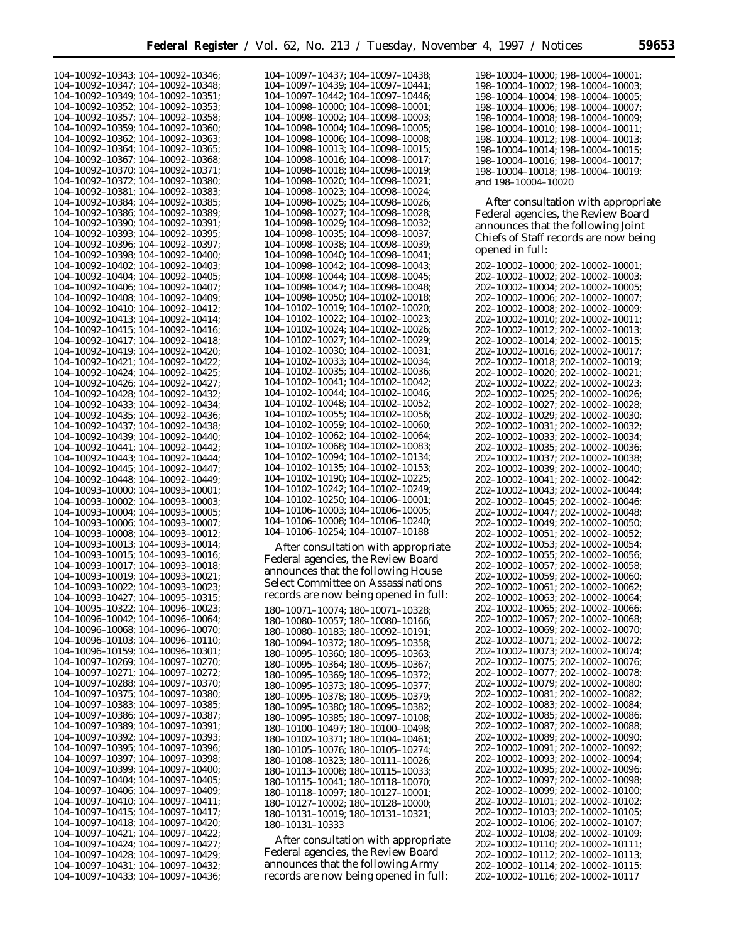| 104-10092-10343; 104-10092-10346;       | 104-10097-10437; 104-10097-10438;               | 198-10004-10000; 198-10004-10001;       |
|-----------------------------------------|-------------------------------------------------|-----------------------------------------|
| 104-10092-10347; 104-10092-10348;       | 104-10097-10439; 104-10097-10441;               | 198-10004-10002; 198-10004-10003;       |
| $104-10092-10349; 104-10092-10351;$     | $104-10097-10442$ ; $104-10097-10446$ ;         | 198-10004-10004; 198-10004-10005;       |
| 104-10092-10352; 104-10092-10353;       | $104-10098-10000$ ; $104-10098-10001$ ;         |                                         |
|                                         |                                                 | $198-10004-10006$ ; $198-10004-10007$ ; |
| 104-10092-10357; 104-10092-10358;       | $104-10098-10002$ ; $104-10098-10003$ ;         | 198-10004-10008; 198-10004-10009;       |
| 104-10092-10359; 104-10092-10360;       | $104-10098-10004$ ; $104-10098-10005$ ;         | $198-10004-10010$ ; $198-10004-10011$ ; |
| $104-10092-10362$ ; $104-10092-10363$ ; | 104-10098-10006; 104-10098-10008;               | $198-10004-10012$ ; $198-10004-10013$ ; |
|                                         |                                                 |                                         |
| $104-10092-10364$ ; $104-10092-10365$ ; | 104-10098-10013; 104-10098-10015;               | 198-10004-10014; 198-10004-10015;       |
| 104-10092-10367; 104-10092-10368;       | $104-10098-10016$ ; $104-10098-10017$ ;         | 198-10004-10016; 198-10004-10017;       |
| 104-10092-10370; 104-10092-10371;       | $104-10098-10018$ ; $104-10098-10019$ ;         | 198-10004-10018; 198-10004-10019;       |
|                                         |                                                 |                                         |
| 104-10092-10372; 104-10092-10380;       | $104-10098-10020$ ; $104-10098-10021$ ;         | and 198-10004-10020                     |
| $104-10092-10381$ ; $104-10092-10383$ ; | $104-10098-10023$ ; $104-10098-10024$ ;         |                                         |
| 104-10092-10384; 104-10092-10385;       | 104-10098-10025; 104-10098-10026;               | After consultation with appropriate     |
|                                         |                                                 |                                         |
| 104-10092-10386; 104-10092-10389;       | $104-10098-10027$ ; $104-10098-10028$ ;         | Federal agencies, the Review Board      |
| $104-10092-10390; 104-10092-10391;$     | $104-10098-10029$ ; $104-10098-10032$ ;         | announces that the following Joint      |
| 104-10092-10393; 104-10092-10395;       | $104-10098-10035$ ; $104-10098-10037$ ;         |                                         |
|                                         |                                                 | Chiefs of Staff records are now being   |
| 104-10092-10396; 104-10092-10397;       | 104-10098-10038; 104-10098-10039;               | opened in full:                         |
| $104-10092-10398; 104-10092-10400;$     | $104-10098-10040; 104-10098-10041;$             |                                         |
| $104-10092-10402$ ; $104-10092-10403$ ; | $104-10098-10042$ ; $104-10098-10043$ ;         | 202-10002-10000; 202-10002-10001;       |
|                                         |                                                 |                                         |
| $104-10092-10404$ ; $104-10092-10405$ ; | $104-10098-10044$ ; $104-10098-10045$ ;         | 202-10002-10002; 202-10002-10003;       |
| $104-10092-10406$ ; $104-10092-10407$ ; | $104-10098-10047$ ; $104-10098-10048$ ;         | 202–10002–10004; 202–10002–10005;       |
| $104-10092-10408$ ; $104-10092-10409$ ; | $104-10098-10050$ ; $104-10102-10018$ ;         | 202–10002–10006; 202–10002–10007;       |
|                                         |                                                 |                                         |
| $104-10092-10410$ ; $104-10092-10412$ ; | $104-10102-10019$ ; $104-10102-10020$ ;         | 202-10002-10008; 202-10002-10009;       |
| $104-10092-10413$ ; $104-10092-10414$ ; | $104-10102-10022$ ; $104-10102-10023$ ;         | 202-10002-10010; 202-10002-10011;       |
| 104-10092-10415; 104-10092-10416;       | $104-10102-10024$ ; $104-10102-10026$ ;         | 202–10002–10012; 202–10002–10013;       |
|                                         |                                                 |                                         |
| 104-10092-10417; 104-10092-10418;       | $104-10102-10027$ ; $104-10102-10029$ ;         | 202-10002-10014; 202-10002-10015;       |
| 104-10092-10419; 104-10092-10420;       | $104-10102-10030$ ; $104-10102-10031$ ;         | 202-10002-10016; 202-10002-10017;       |
|                                         | 104-10102-10033; 104-10102-10034;               |                                         |
| 104-10092-10421; 104-10092-10422;       |                                                 | 202–10002–10018; 202–10002–10019;       |
| 104-10092-10424; 104-10092-10425;       | $104 - 10102 - 10035$ ; $104 - 10102 - 10036$ ; | 202–10002–10020; 202–10002–10021;       |
| $104-10092-10426$ ; $104-10092-10427$ ; | $104-10102-10041$ ; $104-10102-10042$ ;         | 202-10002-10022; 202-10002-10023;       |
|                                         | 104-10102-10044; 104-10102-10046;               |                                         |
| 104-10092-10428; 104-10092-10432;       |                                                 | 202-10002-10025; 202-10002-10026;       |
| 104-10092-10433; 104-10092-10434;       | 104-10102-10048; 104-10102-10052;               | 202-10002-10027; 202-10002-10028;       |
| $104-10092-10435$ ; $104-10092-10436$ ; | $104-10102-10055$ ; $104-10102-10056$ ;         | 202-10002-10029; 202-10002-10030;       |
|                                         | $104-10102-10059$ ; $104-10102-10060$ ;         |                                         |
| 104-10092-10437; 104-10092-10438;       |                                                 | 202-10002-10031; 202-10002-10032;       |
| $104-10092-10439$ ; $104-10092-10440$ ; | $104-10102-10062$ ; $104-10102-10064$ ;         | 202-10002-10033; 202-10002-10034;       |
| 104-10092-10441; 104-10092-10442;       | $104-10102-10068$ ; $104-10102-10083$ ;         | 202-10002-10035; 202-10002-10036;       |
|                                         | $104-10102-10094$ ; $104-10102-10134$ ;         |                                         |
| $104-10092-10443$ ; $104-10092-10444$ ; |                                                 | 202-10002-10037; 202-10002-10038;       |
| $104-10092-10445$ ; $104-10092-10447$ ; | $104-10102-10135$ ; $104-10102-10153$ ;         | 202-10002-10039; 202-10002-10040;       |
| $104-10092-10448$ ; $104-10092-10449$ ; | $104-10102-10190; 104-10102-10225;$             | 202–10002–10041; 202–10002–10042;       |
|                                         | $104-10102-10242$ ; $104-10102-10249$ ;         |                                         |
| $104-10093-10000; 104-10093-10001;$     |                                                 | 202-10002-10043; 202-10002-10044;       |
| $104-10093-10002$ ; $104-10093-10003$ ; | $104-10102-10250$ ; $104-10106-10001$ ;         | 202–10002–10045; 202–10002–10046;       |
| $104-10093-10004$ ; $104-10093-10005$ ; | $104-10106-10003$ ; $104-10106-10005$ ;         | 202-10002-10047; 202-10002-10048;       |
|                                         | 104-10106-10008; 104-10106-10240;               |                                         |
| $104-10093-10006$ ; $104-10093-10007$ ; |                                                 | 202–10002–10049; 202–10002–10050;       |
| $104-10093-10008$ ; $104-10093-10012$ ; | 104-10106-10254; 104-10107-10188                | 202–10002–10051; 202–10002–10052;       |
| $104-10093-10013$ ; $104-10093-10014$ ; |                                                 | 202-10002-10053; 202-10002-10054;       |
|                                         | After consultation with appropriate             |                                         |
| $104-10093-10015$ ; $104-10093-10016$ ; | Federal agencies, the Review Board              | 202–10002–10055; 202–10002–10056;       |
| 104-10093-10017; 104-10093-10018;       |                                                 | 202–10002–10057; 202–10002–10058;       |
| 104-10093-10019; 104-10093-10021;       | announces that the following House              | 202-10002-10059; 202-10002-10060;       |
|                                         | <b>Select Committee on Assassinations</b>       |                                         |
| 104-10093-10022; 104-10093-10023;       | records are now being opened in full:           | 202-10002-10061; 202-10002-10062;       |
| 104-10093-10427; 104-10095-10315;       |                                                 | 202-10002-10063; 202-10002-10064;       |
| 104-10095-10322; 104-10096-10023;       | 180-10071-10074; 180-10071-10328;               | 202-10002-10065; 202-10002-10066;       |
|                                         |                                                 |                                         |
| $104-10096-10042$ ; $104-10096-10064$ ; | 180-10080-10057; 180-10080-10166;               | 202-10002-10067; 202-10002-10068;       |
| 104-10096-10068; 104-10096-10070;       | 180-10080-10183; 180-10092-10191;               | 202-10002-10069; 202-10002-10070;       |
| $104-10096-10103$ ; $104-10096-10110$ ; | 180-10094-10372; 180-10095-10358;               | 202–10002–10071; 202–10002–10072;       |
| $104-10096-10159$ ; $104-10096-10301$ ; |                                                 | 202–10002–10073; 202–10002–10074;       |
|                                         | 180-10095-10360; 180-10095-10363;               |                                         |
| $104-10097-10269; 104-10097-10270;$     | $180-10095-10364$ ; $180-10095-10367$ ;         | 202–10002–10075; 202–10002–10076;       |
| 104-10097-10271; 104-10097-10272;       | $180-10095-10369$ ; $180-10095-10372$ ;         | 202–10002–10077; 202–10002–10078;       |
|                                         |                                                 |                                         |
| $104-10097-10288$ ; $104-10097-10370$ ; | $180-10095-10373$ ; $180-10095-10377$ ;         | 202–10002–10079; 202–10002–10080;       |
| $104-10097-10375$ ; $104-10097-10380$ ; | 180-10095-10378; 180-10095-10379;               | 202–10002–10081; 202–10002–10082;       |
| $104-10097-10383$ ; $104-10097-10385$ ; | $180-10095-10380$ ; $180-10095-10382$ ;         | 202–10002–10083; 202–10002–10084;       |
|                                         |                                                 |                                         |
| 104-10097-10386; 104-10097-10387;       | 180-10095-10385; 180-10097-10108;               | 202–10002–10085; 202–10002–10086;       |
| 104-10097-10389; 104-10097-10391;       | 180-10100-10497; 180-10100-10498;               | 202-10002-10087; 202-10002-10088;       |
| $104-10097-10392$ ; $104-10097-10393$ ; | 180-10102-10371; 180-10104-10461;               | 202–10002–10089; 202–10002–10090;       |
|                                         |                                                 |                                         |
| 104-10097-10395; 104-10097-10396;       | $180-10105-10076$ ; $180-10105-10274$ ;         | 202–10002–10091; 202–10002–10092;       |
| $104-10097-10397$ ; $104-10097-10398$ ; | 180-10108-10323; 180-10111-10026;               | 202–10002–10093; 202–10002–10094;       |
| $104-10097-10399; 104-10097-10400;$     | $180-10113-10008$ ; $180-10115-10033$ ;         | 202–10002–10095; 202–10002–10096;       |
|                                         |                                                 |                                         |
| $104-10097-10404$ ; $104-10097-10405$ ; | 180-10115-10041; 180-10118-10070;               | 202–10002–10097; 202–10002–10098;       |
| 104-10097-10406; 104-10097-10409;       | 180-10118-10097; 180-10127-10001;               | 202–10002–10099; 202–10002–10100;       |
| $104-10097-10410$ ; $104-10097-10411$ ; | 180-10127-10002; 180-10128-10000;               | 202–10002–10101; 202–10002–10102;       |
|                                         |                                                 |                                         |
| $104-10097-10415$ ; $104-10097-10417$ ; | 180-10131-10019; 180-10131-10321;               | 202–10002–10103; 202–10002–10105;       |
| 104-10097-10418; 104-10097-10420;       | 180-10131-10333                                 | 202–10002–10106; 202–10002–10107;       |
| 104-10097-10421; 104-10097-10422;       |                                                 | 202–10002–10108; 202–10002–10109;       |
|                                         | After consultation with appropriate             |                                         |
| $104-10097-10424$ ; $104-10097-10427$ ; |                                                 | 202–10002–10110; 202–10002–10111;       |
| 104-10097-10428; 104-10097-10429;       | Federal agencies, the Review Board              | 202-10002-10112; 202-10002-10113;       |
| 104-10097-10431; 104-10097-10432;       | announces that the following Army               | 202–10002–10114; 202–10002–10115;       |
| 104-10097-10433; 104-10097-10436;       | records are now being opened in full:           |                                         |
|                                         |                                                 | 202-10002-10116; 202-10002-10117        |